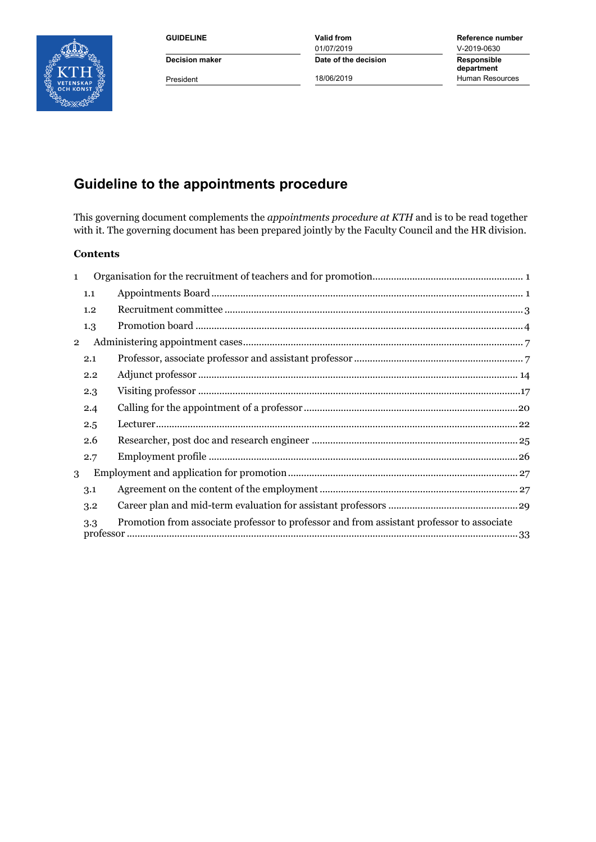

01/07/2019 <br>Date of the decision Responsible **Decision maker Date of the decision** 

**GUIDELINE Valid from Reference number department** President **18/06/2019** 18/06/2019 Human Resources

# **Guideline to the appointments procedure**

This governing document complements the *appointments procedure at KTH* and is to be read together with it. The governing document has been prepared jointly by the Faculty Council and the HR division.

#### **Contents**

| $\mathbf{1}$   |     |                                                                                           |
|----------------|-----|-------------------------------------------------------------------------------------------|
|                | 1.1 |                                                                                           |
|                | 1.2 | $Recruitment~committee~\\$                                                                |
|                | 1.3 |                                                                                           |
| $\overline{2}$ |     |                                                                                           |
|                | 2.1 |                                                                                           |
|                | 2.2 |                                                                                           |
|                | 2.3 |                                                                                           |
|                | 2.4 |                                                                                           |
|                | 2.5 |                                                                                           |
|                | 2.6 |                                                                                           |
|                | 2.7 |                                                                                           |
| 3              |     |                                                                                           |
|                | 3.1 |                                                                                           |
|                | 3.2 |                                                                                           |
|                | 3.3 | Promotion from associate professor to professor and from assistant professor to associate |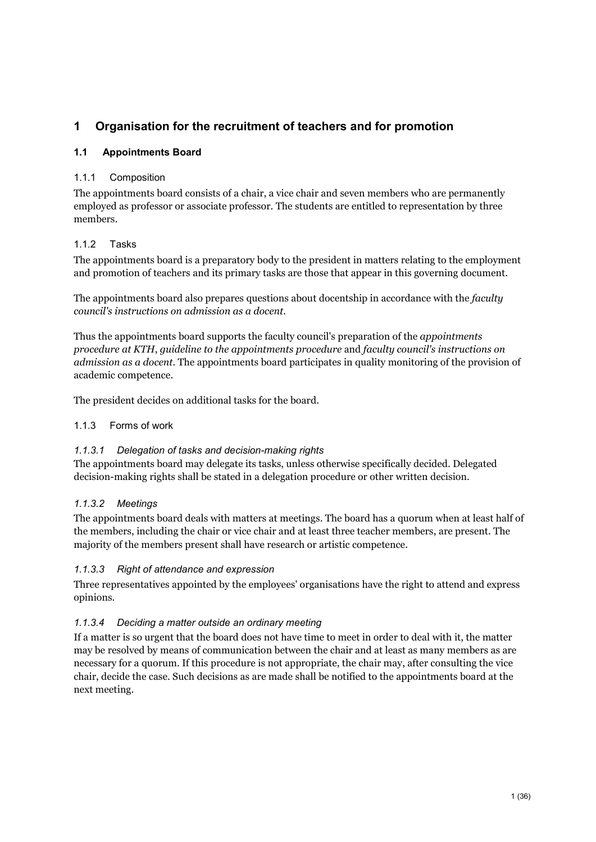# <span id="page-1-0"></span>**1 Organisation for the recruitment of teachers and for promotion**

### <span id="page-1-1"></span>**1.1 Appointments Board**

### 1.1.1 Composition

The appointments board consists of a chair, a vice chair and seven members who are permanently employed as professor or associate professor. The students are entitled to representation by three members.

### 1.1.2 Tasks

The appointments board is a preparatory body to the president in matters relating to the employment and promotion of teachers and its primary tasks are those that appear in this governing document.

The appointments board also prepares questions about docentship in accordance with the *faculty council's instructions on admission as a docent.*

Thus the appointments board supports the faculty council's preparation of the *appointments procedure at KTH*, *guideline to the appointments procedure* and *faculty council's instructions on admission as a docent.* The appointments board participates in quality monitoring of the provision of academic competence.

The president decides on additional tasks for the board.

### 1.1.3 Forms of work

### *1.1.3.1 Delegation of tasks and decision-making rights*

The appointments board may delegate its tasks, unless otherwise specifically decided. Delegated decision-making rights shall be stated in a delegation procedure or other written decision.

### *1.1.3.2 Meetings*

The appointments board deals with matters at meetings. The board has a quorum when at least half of the members, including the chair or vice chair and at least three teacher members, are present. The majority of the members present shall have research or artistic competence.

### *1.1.3.3 Right of attendance and expression*

Three representatives appointed by the employees' organisations have the right to attend and express opinions.

### *1.1.3.4 Deciding a matter outside an ordinary meeting*

If a matter is so urgent that the board does not have time to meet in order to deal with it, the matter may be resolved by means of communication between the chair and at least as many members as are necessary for a quorum. If this procedure is not appropriate, the chair may, after consulting the vice chair, decide the case. Such decisions as are made shall be notified to the appointments board at the next meeting.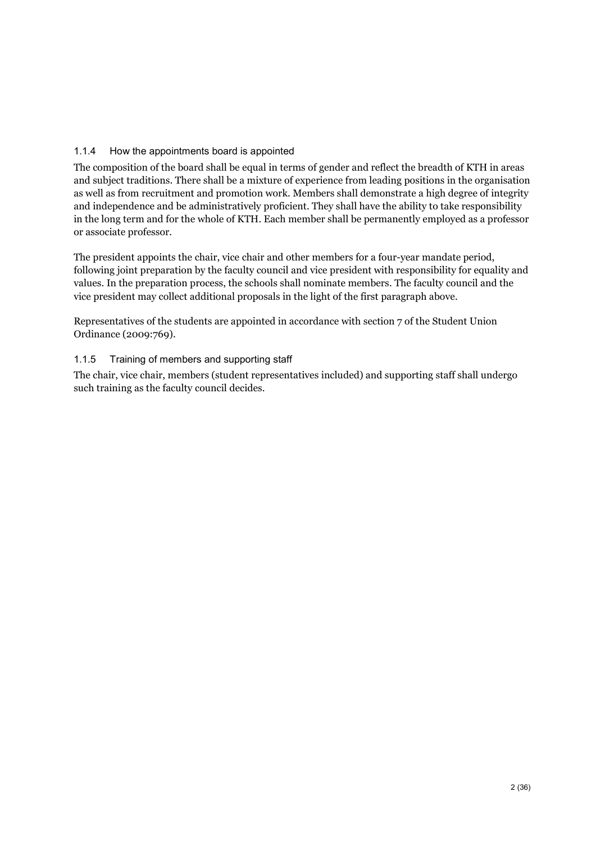### 1.1.4 How the appointments board is appointed

The composition of the board shall be equal in terms of gender and reflect the breadth of KTH in areas and subject traditions. There shall be a mixture of experience from leading positions in the organisation as well as from recruitment and promotion work. Members shall demonstrate a high degree of integrity and independence and be administratively proficient. They shall have the ability to take responsibility in the long term and for the whole of KTH. Each member shall be permanently employed as a professor or associate professor.

The president appoints the chair, vice chair and other members for a four-year mandate period, following joint preparation by the faculty council and vice president with responsibility for equality and values. In the preparation process, the schools shall nominate members. The faculty council and the vice president may collect additional proposals in the light of the first paragraph above.

Representatives of the students are appointed in accordance with section 7 of the Student Union Ordinance (2009:769).

### 1.1.5 Training of members and supporting staff

The chair, vice chair, members (student representatives included) and supporting staff shall undergo such training as the faculty council decides.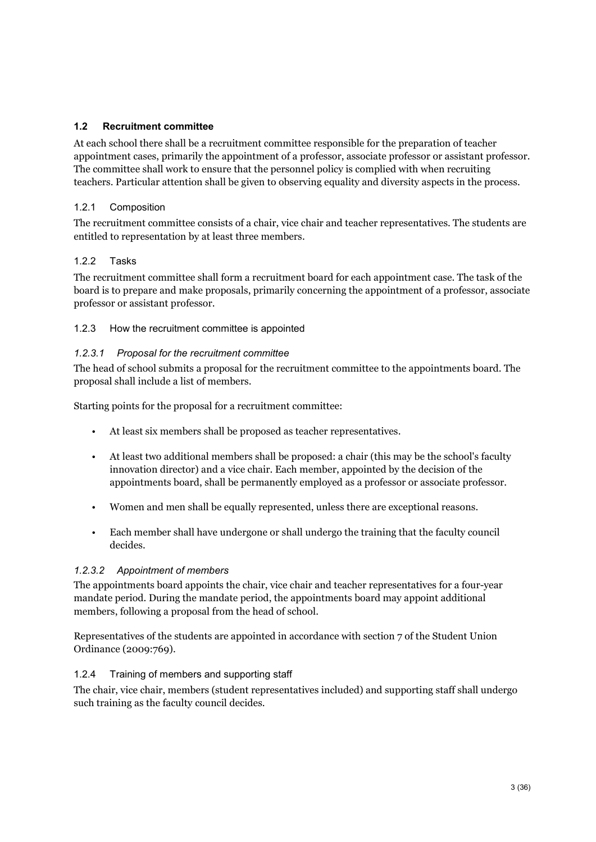### <span id="page-3-0"></span>**1.2 Recruitment committee**

At each school there shall be a recruitment committee responsible for the preparation of teacher appointment cases, primarily the appointment of a professor, associate professor or assistant professor. The committee shall work to ensure that the personnel policy is complied with when recruiting teachers. Particular attention shall be given to observing equality and diversity aspects in the process.

### 1.2.1 Composition

The recruitment committee consists of a chair, vice chair and teacher representatives. The students are entitled to representation by at least three members.

### 122 Tasks

The recruitment committee shall form a recruitment board for each appointment case. The task of the board is to prepare and make proposals, primarily concerning the appointment of a professor, associate professor or assistant professor.

1.2.3 How the recruitment committee is appointed

### *1.2.3.1 Proposal for the recruitment committee*

The head of school submits a proposal for the recruitment committee to the appointments board. The proposal shall include a list of members.

Starting points for the proposal for a recruitment committee:

- At least six members shall be proposed as teacher representatives.
- At least two additional members shall be proposed: a chair (this may be the school's faculty innovation director) and a vice chair. Each member, appointed by the decision of the appointments board, shall be permanently employed as a professor or associate professor.
- Women and men shall be equally represented, unless there are exceptional reasons.
- Each member shall have undergone or shall undergo the training that the faculty council decides.

### *1.2.3.2 Appointment of members*

The appointments board appoints the chair, vice chair and teacher representatives for a four-year mandate period. During the mandate period, the appointments board may appoint additional members, following a proposal from the head of school.

Representatives of the students are appointed in accordance with section 7 of the Student Union Ordinance (2009:769).

#### 1.2.4 Training of members and supporting staff

The chair, vice chair, members (student representatives included) and supporting staff shall undergo such training as the faculty council decides.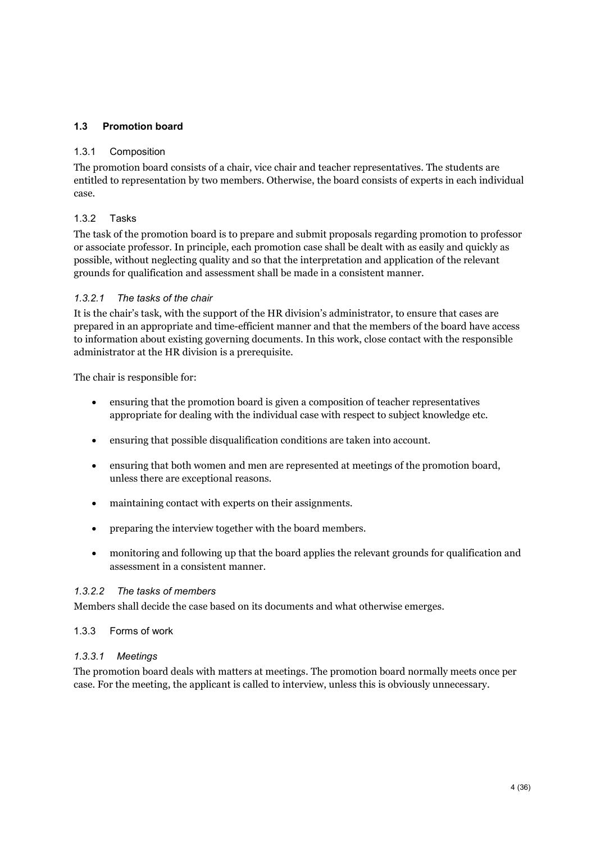### <span id="page-4-0"></span>**1.3 Promotion board**

#### 1.3.1 Composition

The promotion board consists of a chair, vice chair and teacher representatives. The students are entitled to representation by two members. Otherwise, the board consists of experts in each individual case.

### 1.3.2 Tasks

The task of the promotion board is to prepare and submit proposals regarding promotion to professor or associate professor. In principle, each promotion case shall be dealt with as easily and quickly as possible, without neglecting quality and so that the interpretation and application of the relevant grounds for qualification and assessment shall be made in a consistent manner.

#### *1.3.2.1 The tasks of the chair*

It is the chair's task, with the support of the HR division's administrator, to ensure that cases are prepared in an appropriate and time-efficient manner and that the members of the board have access to information about existing governing documents. In this work, close contact with the responsible administrator at the HR division is a prerequisite.

The chair is responsible for:

- ensuring that the promotion board is given a composition of teacher representatives appropriate for dealing with the individual case with respect to subject knowledge etc.
- ensuring that possible disqualification conditions are taken into account.
- ensuring that both women and men are represented at meetings of the promotion board, unless there are exceptional reasons.
- maintaining contact with experts on their assignments.
- preparing the interview together with the board members.
- monitoring and following up that the board applies the relevant grounds for qualification and assessment in a consistent manner.

#### *1.3.2.2 The tasks of members*

Members shall decide the case based on its documents and what otherwise emerges.

#### 1.3.3 Forms of work

#### *1.3.3.1 Meetings*

The promotion board deals with matters at meetings. The promotion board normally meets once per case. For the meeting, the applicant is called to interview, unless this is obviously unnecessary.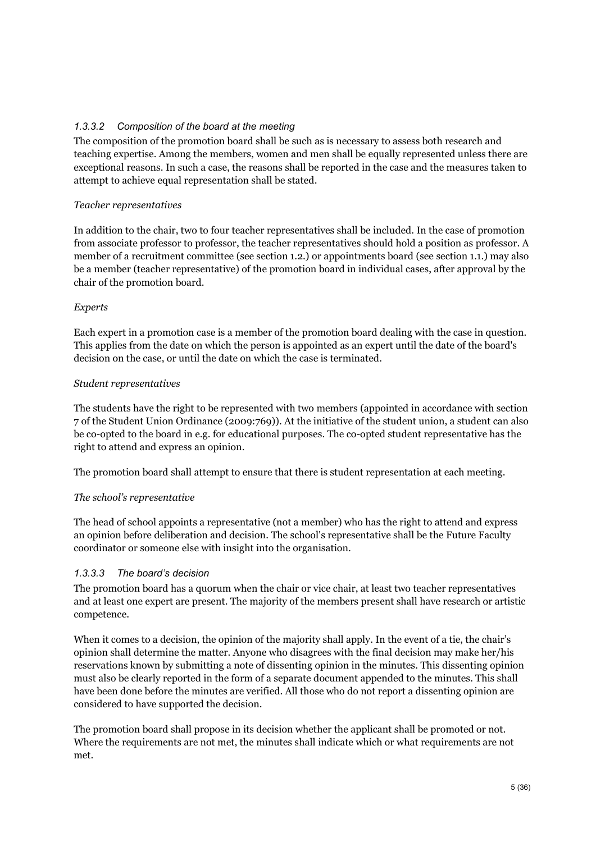### *1.3.3.2 Composition of the board at the meeting*

The composition of the promotion board shall be such as is necessary to assess both research and teaching expertise. Among the members, women and men shall be equally represented unless there are exceptional reasons. In such a case, the reasons shall be reported in the case and the measures taken to attempt to achieve equal representation shall be stated.

### *Teacher representatives*

In addition to the chair, two to four teacher representatives shall be included. In the case of promotion from associate professor to professor, the teacher representatives should hold a position as professor. A member of a recruitment committee (see section 1.2.) or appointments board (see section 1.1.) may also be a member (teacher representative) of the promotion board in individual cases, after approval by the chair of the promotion board.

### *Experts*

Each expert in a promotion case is a member of the promotion board dealing with the case in question. This applies from the date on which the person is appointed as an expert until the date of the board's decision on the case, or until the date on which the case is terminated.

### *Student representatives*

The students have the right to be represented with two members (appointed in accordance with section 7 of the Student Union Ordinance (2009:769)). At the initiative of the student union, a student can also be co-opted to the board in e.g. for educational purposes. The co-opted student representative has the right to attend and express an opinion.

The promotion board shall attempt to ensure that there is student representation at each meeting.

### *The school's representative*

The head of school appoints a representative (not a member) who has the right to attend and express an opinion before deliberation and decision. The school's representative shall be the Future Faculty coordinator or someone else with insight into the organisation.

### *1.3.3.3 The board's decision*

The promotion board has a quorum when the chair or vice chair, at least two teacher representatives and at least one expert are present. The majority of the members present shall have research or artistic competence.

When it comes to a decision, the opinion of the majority shall apply. In the event of a tie, the chair's opinion shall determine the matter. Anyone who disagrees with the final decision may make her/his reservations known by submitting a note of dissenting opinion in the minutes. This dissenting opinion must also be clearly reported in the form of a separate document appended to the minutes. This shall have been done before the minutes are verified. All those who do not report a dissenting opinion are considered to have supported the decision.

The promotion board shall propose in its decision whether the applicant shall be promoted or not. Where the requirements are not met, the minutes shall indicate which or what requirements are not met.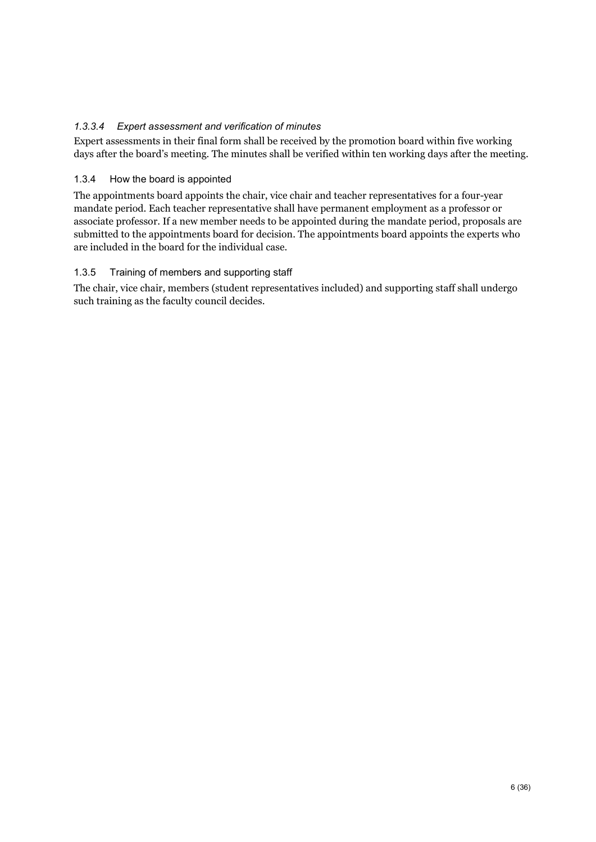### *1.3.3.4 Expert assessment and verification of minutes*

Expert assessments in their final form shall be received by the promotion board within five working days after the board's meeting. The minutes shall be verified within ten working days after the meeting.

### 1.3.4 How the board is appointed

The appointments board appoints the chair, vice chair and teacher representatives for a four-year mandate period. Each teacher representative shall have permanent employment as a professor or associate professor. If a new member needs to be appointed during the mandate period, proposals are submitted to the appointments board for decision. The appointments board appoints the experts who are included in the board for the individual case.

### 1.3.5 Training of members and supporting staff

The chair, vice chair, members (student representatives included) and supporting staff shall undergo such training as the faculty council decides.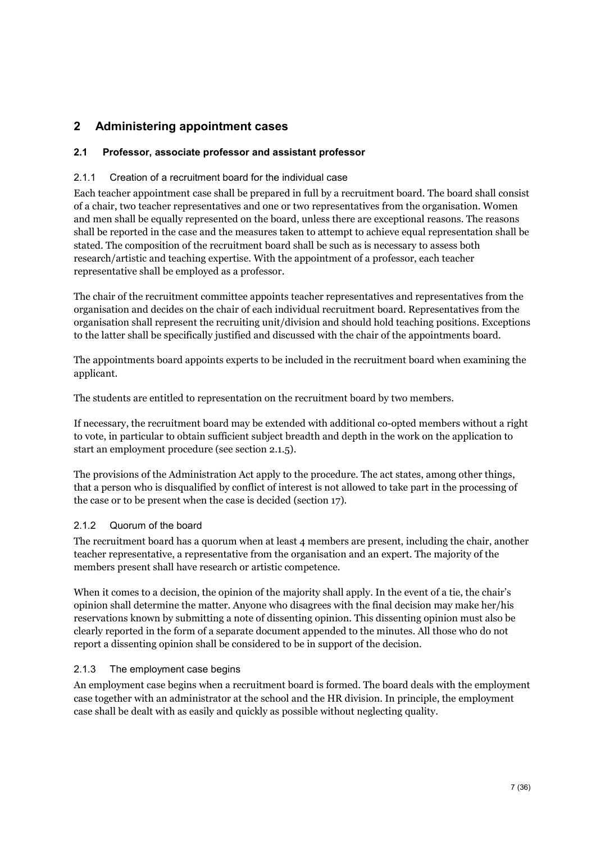## <span id="page-7-0"></span>**2 Administering appointment cases**

### <span id="page-7-1"></span>**2.1 Professor, associate professor and assistant professor**

#### 2.1.1 Creation of a recruitment board for the individual case

Each teacher appointment case shall be prepared in full by a recruitment board. The board shall consist of a chair, two teacher representatives and one or two representatives from the organisation. Women and men shall be equally represented on the board, unless there are exceptional reasons. The reasons shall be reported in the case and the measures taken to attempt to achieve equal representation shall be stated. The composition of the recruitment board shall be such as is necessary to assess both research/artistic and teaching expertise. With the appointment of a professor, each teacher representative shall be employed as a professor.

The chair of the recruitment committee appoints teacher representatives and representatives from the organisation and decides on the chair of each individual recruitment board. Representatives from the organisation shall represent the recruiting unit/division and should hold teaching positions. Exceptions to the latter shall be specifically justified and discussed with the chair of the appointments board.

The appointments board appoints experts to be included in the recruitment board when examining the applicant.

The students are entitled to representation on the recruitment board by two members.

If necessary, the recruitment board may be extended with additional co-opted members without a right to vote, in particular to obtain sufficient subject breadth and depth in the work on the application to start an employment procedure (see section 2.1.5).

The provisions of the Administration Act apply to the procedure. The act states, among other things, that a person who is disqualified by conflict of interest is not allowed to take part in the processing of the case or to be present when the case is decided (section 17).

#### 2.1.2 Quorum of the board

The recruitment board has a quorum when at least 4 members are present, including the chair, another teacher representative, a representative from the organisation and an expert. The majority of the members present shall have research or artistic competence.

When it comes to a decision, the opinion of the majority shall apply. In the event of a tie, the chair's opinion shall determine the matter. Anyone who disagrees with the final decision may make her/his reservations known by submitting a note of dissenting opinion. This dissenting opinion must also be clearly reported in the form of a separate document appended to the minutes. All those who do not report a dissenting opinion shall be considered to be in support of the decision.

#### 2.1.3 The employment case begins

An employment case begins when a recruitment board is formed. The board deals with the employment case together with an administrator at the school and the HR division. In principle, the employment case shall be dealt with as easily and quickly as possible without neglecting quality.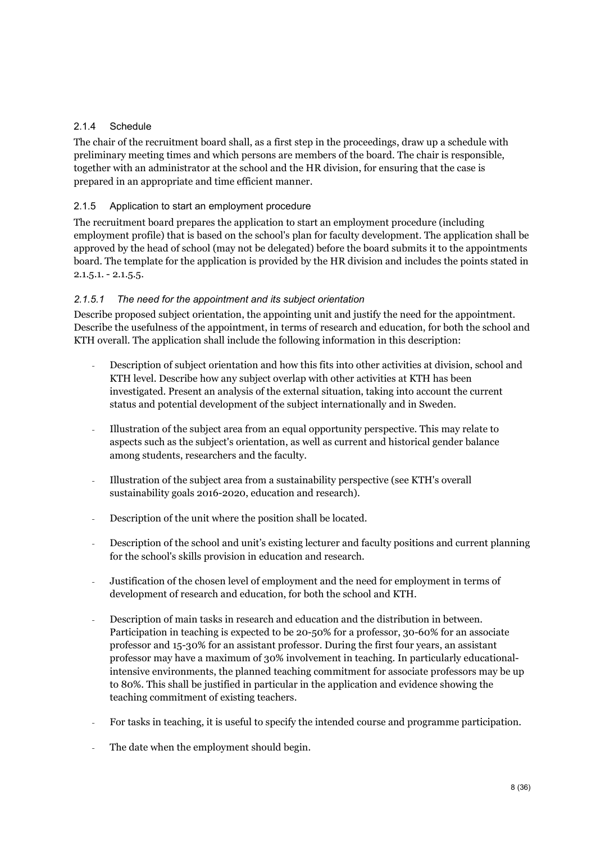### 2.1.4 Schedule

The chair of the recruitment board shall, as a first step in the proceedings, draw up a schedule with preliminary meeting times and which persons are members of the board. The chair is responsible, together with an administrator at the school and the HR division, for ensuring that the case is prepared in an appropriate and time efficient manner.

### 2.1.5 Application to start an employment procedure

The recruitment board prepares the application to start an employment procedure (including employment profile) that is based on the school's plan for faculty development. The application shall be approved by the head of school (may not be delegated) before the board submits it to the appointments board. The template for the application is provided by the HR division and includes the points stated in  $2.1.5.1. - 2.1.5.5.$ 

### *2.1.5.1 The need for the appointment and its subject orientation*

Describe proposed subject orientation, the appointing unit and justify the need for the appointment. Describe the usefulness of the appointment, in terms of research and education, for both the school and KTH overall. The application shall include the following information in this description:

- Description of subject orientation and how this fits into other activities at division, school and KTH level. Describe how any subject overlap with other activities at KTH has been investigated. Present an analysis of the external situation, taking into account the current status and potential development of the subject internationally and in Sweden.
- Illustration of the subject area from an equal opportunity perspective. This may relate to aspects such as the subject's orientation, as well as current and historical gender balance among students, researchers and the faculty.
- Illustration of the subject area from a sustainability perspective (see KTH's overall sustainability goals 2016-2020, education and research).
- Description of the unit where the position shall be located.
- Description of the school and unit's existing lecturer and faculty positions and current planning for the school's skills provision in education and research.
- Justification of the chosen level of employment and the need for employment in terms of development of research and education, for both the school and KTH.
- Description of main tasks in research and education and the distribution in between. Participation in teaching is expected to be 20-50% for a professor, 30-60% for an associate professor and 15-30% for an assistant professor. During the first four years, an assistant professor may have a maximum of 30% involvement in teaching. In particularly educationalintensive environments, the planned teaching commitment for associate professors may be up to 80%. This shall be justified in particular in the application and evidence showing the teaching commitment of existing teachers.
- For tasks in teaching, it is useful to specify the intended course and programme participation.
- The date when the employment should begin.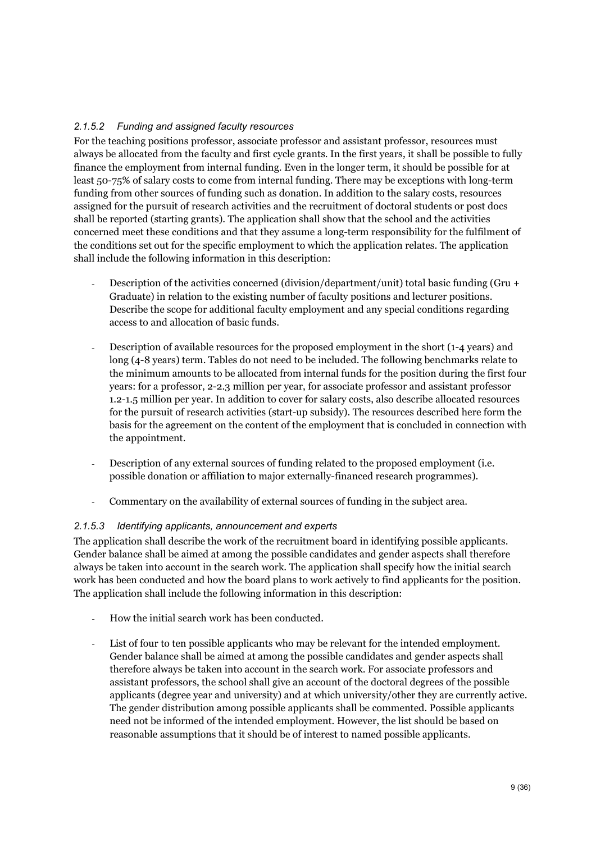### *2.1.5.2 Funding and assigned faculty resources*

For the teaching positions professor, associate professor and assistant professor, resources must always be allocated from the faculty and first cycle grants. In the first years, it shall be possible to fully finance the employment from internal funding. Even in the longer term, it should be possible for at least 50-75% of salary costs to come from internal funding. There may be exceptions with long-term funding from other sources of funding such as donation. In addition to the salary costs, resources assigned for the pursuit of research activities and the recruitment of doctoral students or post docs shall be reported (starting grants). The application shall show that the school and the activities concerned meet these conditions and that they assume a long-term responsibility for the fulfilment of the conditions set out for the specific employment to which the application relates. The application shall include the following information in this description:

- Description of the activities concerned (division/department/unit) total basic funding (Gru + Graduate) in relation to the existing number of faculty positions and lecturer positions. Describe the scope for additional faculty employment and any special conditions regarding access to and allocation of basic funds.
- Description of available resources for the proposed employment in the short (1-4 years) and long (4-8 years) term. Tables do not need to be included. The following benchmarks relate to the minimum amounts to be allocated from internal funds for the position during the first four years: for a professor, 2-2.3 million per year, for associate professor and assistant professor 1.2-1.5 million per year. In addition to cover for salary costs, also describe allocated resources for the pursuit of research activities (start-up subsidy). The resources described here form the basis for the agreement on the content of the employment that is concluded in connection with the appointment.
- Description of any external sources of funding related to the proposed employment (i.e. possible donation or affiliation to major externally-financed research programmes).
- Commentary on the availability of external sources of funding in the subject area.

### *2.1.5.3 Identifying applicants, announcement and experts*

The application shall describe the work of the recruitment board in identifying possible applicants. Gender balance shall be aimed at among the possible candidates and gender aspects shall therefore always be taken into account in the search work. The application shall specify how the initial search work has been conducted and how the board plans to work actively to find applicants for the position. The application shall include the following information in this description:

- How the initial search work has been conducted.
- List of four to ten possible applicants who may be relevant for the intended employment. Gender balance shall be aimed at among the possible candidates and gender aspects shall therefore always be taken into account in the search work. For associate professors and assistant professors, the school shall give an account of the doctoral degrees of the possible applicants (degree year and university) and at which university/other they are currently active. The gender distribution among possible applicants shall be commented. Possible applicants need not be informed of the intended employment. However, the list should be based on reasonable assumptions that it should be of interest to named possible applicants.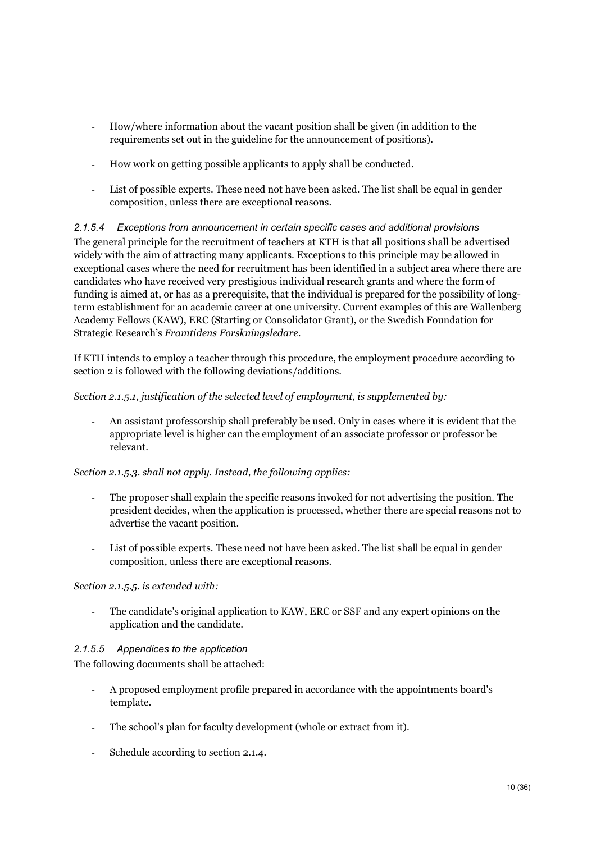- How/where information about the vacant position shall be given (in addition to the requirements set out in the guideline for the announcement of positions).
- How work on getting possible applicants to apply shall be conducted.
- List of possible experts. These need not have been asked. The list shall be equal in gender composition, unless there are exceptional reasons.

### *2.1.5.4 Exceptions from announcement in certain specific cases and additional provisions* The general principle for the recruitment of teachers at KTH is that all positions shall be advertised widely with the aim of attracting many applicants. Exceptions to this principle may be allowed in exceptional cases where the need for recruitment has been identified in a subject area where there are candidates who have received very prestigious individual research grants and where the form of funding is aimed at, or has as a prerequisite, that the individual is prepared for the possibility of longterm establishment for an academic career at one university. Current examples of this are Wallenberg Academy Fellows (KAW), ERC (Starting or Consolidator Grant), or the Swedish Foundation for Strategic Research's *Framtidens Forskningsledare*.

If KTH intends to employ a teacher through this procedure, the employment procedure according to section 2 is followed with the following deviations/additions.

### *Section 2.1.5.1, justification of the selected level of employment, is supplemented by:*

- An assistant professorship shall preferably be used. Only in cases where it is evident that the appropriate level is higher can the employment of an associate professor or professor be relevant.

#### *Section 2.1.5.3. shall not apply. Instead, the following applies:*

- The proposer shall explain the specific reasons invoked for not advertising the position. The president decides, when the application is processed, whether there are special reasons not to advertise the vacant position.
- List of possible experts. These need not have been asked. The list shall be equal in gender composition, unless there are exceptional reasons.

#### *Section 2.1.5.5. is extended with:*

The candidate's original application to KAW, ERC or SSF and any expert opinions on the application and the candidate.

#### *2.1.5.5 Appendices to the application*

The following documents shall be attached:

- A proposed employment profile prepared in accordance with the appointments board's template.
- The school's plan for faculty development (whole or extract from it).
- Schedule according to section 2.1.4.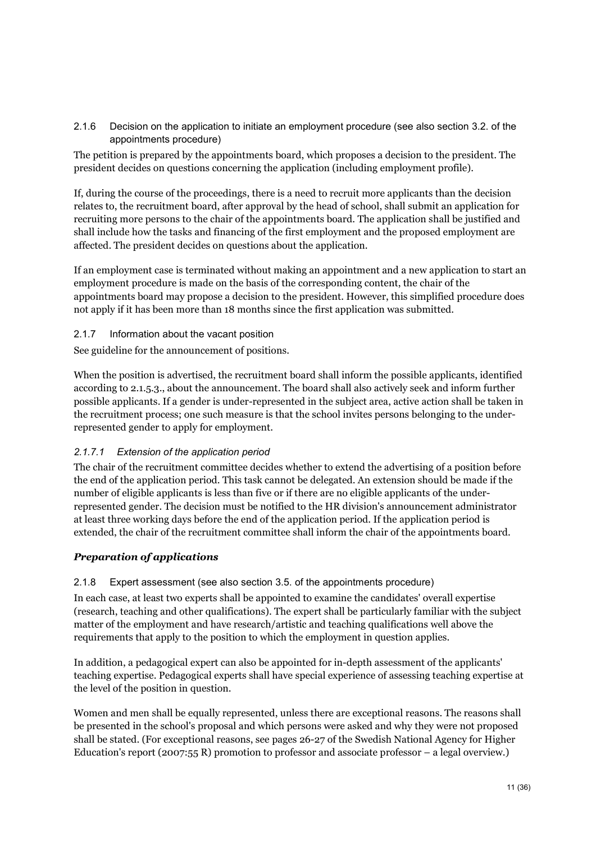2.1.6 Decision on the application to initiate an employment procedure (see also section 3.2. of the appointments procedure)

The petition is prepared by the appointments board, which proposes a decision to the president. The president decides on questions concerning the application (including employment profile).

If, during the course of the proceedings, there is a need to recruit more applicants than the decision relates to, the recruitment board, after approval by the head of school, shall submit an application for recruiting more persons to the chair of the appointments board. The application shall be justified and shall include how the tasks and financing of the first employment and the proposed employment are affected. The president decides on questions about the application.

If an employment case is terminated without making an appointment and a new application to start an employment procedure is made on the basis of the corresponding content, the chair of the appointments board may propose a decision to the president. However, this simplified procedure does not apply if it has been more than 18 months since the first application was submitted.

2.1.7 Information about the vacant position

See guideline for the announcement of positions.

When the position is advertised, the recruitment board shall inform the possible applicants, identified according to 2.1.5.3., about the announcement. The board shall also actively seek and inform further possible applicants. If a gender is under-represented in the subject area, active action shall be taken in the recruitment process; one such measure is that the school invites persons belonging to the underrepresented gender to apply for employment.

#### *2.1.7.1 Extension of the application period*

The chair of the recruitment committee decides whether to extend the advertising of a position before the end of the application period. This task cannot be delegated. An extension should be made if the number of eligible applicants is less than five or if there are no eligible applicants of the underrepresented gender. The decision must be notified to the HR division's announcement administrator at least three working days before the end of the application period. If the application period is extended, the chair of the recruitment committee shall inform the chair of the appointments board.

#### *Preparation of applications*

2.1.8 Expert assessment (see also section 3.5. of the appointments procedure)

In each case, at least two experts shall be appointed to examine the candidates' overall expertise (research, teaching and other qualifications). The expert shall be particularly familiar with the subject matter of the employment and have research/artistic and teaching qualifications well above the requirements that apply to the position to which the employment in question applies.

In addition, a pedagogical expert can also be appointed for in-depth assessment of the applicants' teaching expertise. Pedagogical experts shall have special experience of assessing teaching expertise at the level of the position in question.

Women and men shall be equally represented, unless there are exceptional reasons. The reasons shall be presented in the school's proposal and which persons were asked and why they were not proposed shall be stated. (For exceptional reasons, see pages 26-27 of the Swedish National Agency for Higher Education's report (2007:55 R) promotion to professor and associate professor – a legal overview.)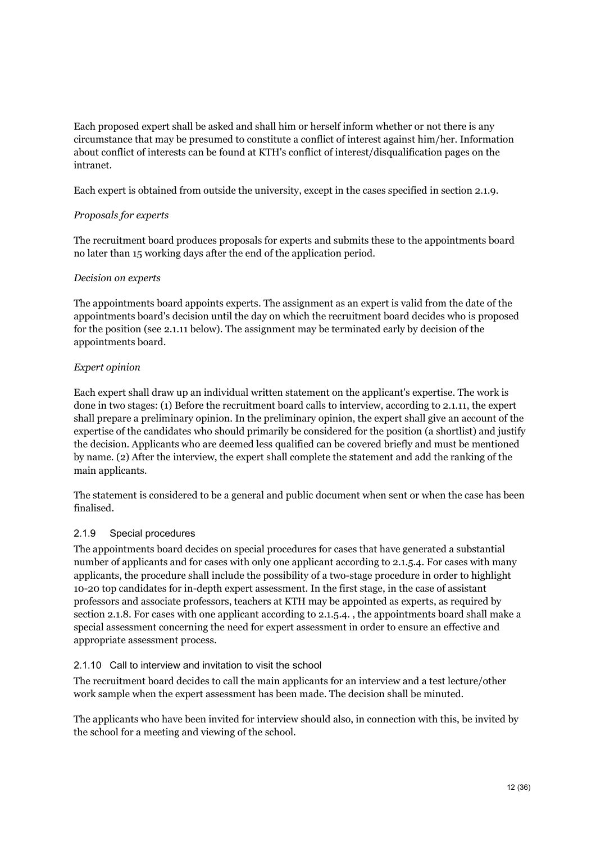Each proposed expert shall be asked and shall him or herself inform whether or not there is any circumstance that may be presumed to constitute a conflict of interest against him/her. Information about conflict of interests can be found at KTH's conflict of interest/disqualification pages on the intranet.

Each expert is obtained from outside the university, except in the cases specified in section 2.1.9.

### *Proposals for experts*

The recruitment board produces proposals for experts and submits these to the appointments board no later than 15 working days after the end of the application period.

### *Decision on experts*

The appointments board appoints experts. The assignment as an expert is valid from the date of the appointments board's decision until the day on which the recruitment board decides who is proposed for the position (see 2.1.11 below). The assignment may be terminated early by decision of the appointments board.

### *Expert opinion*

Each expert shall draw up an individual written statement on the applicant's expertise. The work is done in two stages: (1) Before the recruitment board calls to interview, according to 2.1.11, the expert shall prepare a preliminary opinion. In the preliminary opinion, the expert shall give an account of the expertise of the candidates who should primarily be considered for the position (a shortlist) and justify the decision. Applicants who are deemed less qualified can be covered briefly and must be mentioned by name. (2) After the interview, the expert shall complete the statement and add the ranking of the main applicants.

The statement is considered to be a general and public document when sent or when the case has been finalised.

### 2.1.9 Special procedures

The appointments board decides on special procedures for cases that have generated a substantial number of applicants and for cases with only one applicant according to 2.1.5.4. For cases with many applicants, the procedure shall include the possibility of a two-stage procedure in order to highlight 10-20 top candidates for in-depth expert assessment. In the first stage, in the case of assistant professors and associate professors, teachers at KTH may be appointed as experts, as required by section 2.1.8. For cases with one applicant according to 2.1.5.4. , the appointments board shall make a special assessment concerning the need for expert assessment in order to ensure an effective and appropriate assessment process.

#### 2.1.10 Call to interview and invitation to visit the school

The recruitment board decides to call the main applicants for an interview and a test lecture/other work sample when the expert assessment has been made. The decision shall be minuted.

The applicants who have been invited for interview should also, in connection with this, be invited by the school for a meeting and viewing of the school.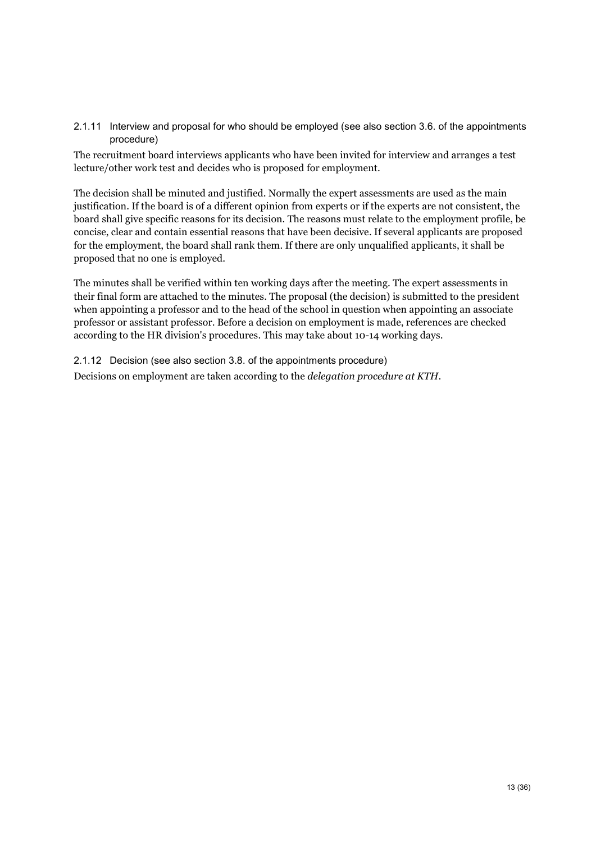#### 2.1.11 Interview and proposal for who should be employed (see also section 3.6. of the appointments procedure)

The recruitment board interviews applicants who have been invited for interview and arranges a test lecture/other work test and decides who is proposed for employment.

The decision shall be minuted and justified. Normally the expert assessments are used as the main justification. If the board is of a different opinion from experts or if the experts are not consistent, the board shall give specific reasons for its decision. The reasons must relate to the employment profile, be concise, clear and contain essential reasons that have been decisive. If several applicants are proposed for the employment, the board shall rank them. If there are only unqualified applicants, it shall be proposed that no one is employed.

The minutes shall be verified within ten working days after the meeting. The expert assessments in their final form are attached to the minutes. The proposal (the decision) is submitted to the president when appointing a professor and to the head of the school in question when appointing an associate professor or assistant professor. Before a decision on employment is made, references are checked according to the HR division's procedures. This may take about 10-14 working days.

2.1.12 Decision (see also section 3.8. of the appointments procedure) Decisions on employment are taken according to the *delegation procedure at KTH*.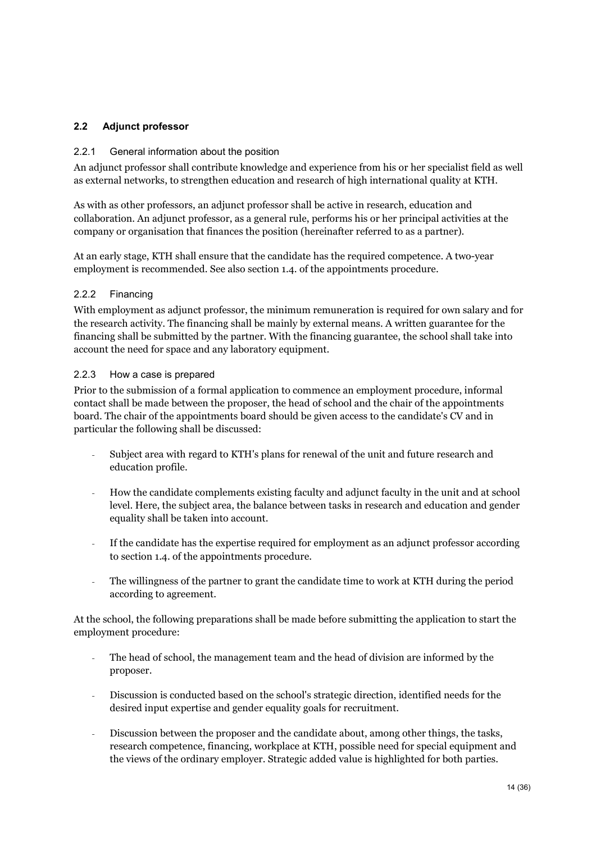### <span id="page-14-0"></span>**2.2 Adjunct professor**

#### 2.2.1 General information about the position

An adjunct professor shall contribute knowledge and experience from his or her specialist field as well as external networks, to strengthen education and research of high international quality at KTH.

As with as other professors, an adjunct professor shall be active in research, education and collaboration. An adjunct professor, as a general rule, performs his or her principal activities at the company or organisation that finances the position (hereinafter referred to as a partner).

At an early stage, KTH shall ensure that the candidate has the required competence. A two-year employment is recommended. See also section 1.4. of the appointments procedure.

### 2.2.2 Financing

With employment as adjunct professor, the minimum remuneration is required for own salary and for the research activity. The financing shall be mainly by external means. A written guarantee for the financing shall be submitted by the partner. With the financing guarantee, the school shall take into account the need for space and any laboratory equipment.

#### 2.2.3 How a case is prepared

Prior to the submission of a formal application to commence an employment procedure, informal contact shall be made between the proposer, the head of school and the chair of the appointments board. The chair of the appointments board should be given access to the candidate's CV and in particular the following shall be discussed:

- Subject area with regard to KTH's plans for renewal of the unit and future research and education profile.
- How the candidate complements existing faculty and adjunct faculty in the unit and at school level. Here, the subject area, the balance between tasks in research and education and gender equality shall be taken into account.
- If the candidate has the expertise required for employment as an adjunct professor according to section 1.4. of the appointments procedure.
- The willingness of the partner to grant the candidate time to work at KTH during the period according to agreement.

At the school, the following preparations shall be made before submitting the application to start the employment procedure:

- The head of school, the management team and the head of division are informed by the proposer.
- Discussion is conducted based on the school's strategic direction, identified needs for the desired input expertise and gender equality goals for recruitment.
- Discussion between the proposer and the candidate about, among other things, the tasks, research competence, financing, workplace at KTH, possible need for special equipment and the views of the ordinary employer. Strategic added value is highlighted for both parties.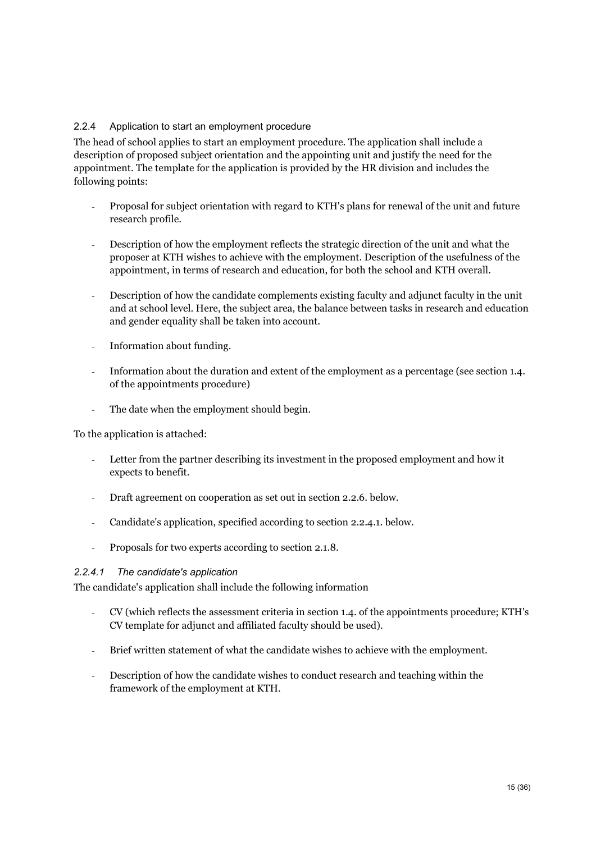### 2.2.4 Application to start an employment procedure

The head of school applies to start an employment procedure. The application shall include a description of proposed subject orientation and the appointing unit and justify the need for the appointment. The template for the application is provided by the HR division and includes the following points:

- Proposal for subject orientation with regard to KTH's plans for renewal of the unit and future research profile.
- Description of how the employment reflects the strategic direction of the unit and what the proposer at KTH wishes to achieve with the employment. Description of the usefulness of the appointment, in terms of research and education, for both the school and KTH overall.
- Description of how the candidate complements existing faculty and adjunct faculty in the unit and at school level. Here, the subject area, the balance between tasks in research and education and gender equality shall be taken into account.
- Information about funding.
- Information about the duration and extent of the employment as a percentage (see section 1.4. of the appointments procedure)
- The date when the employment should begin.

To the application is attached:

- Letter from the partner describing its investment in the proposed employment and how it expects to benefit.
- Draft agreement on cooperation as set out in section 2.2.6. below.
- Candidate's application, specified according to section 2.2.4.1. below.
- Proposals for two experts according to section 2.1.8.

#### *2.2.4.1 The candidate's application*

The candidate's application shall include the following information

- CV (which reflects the assessment criteria in section 1.4. of the appointments procedure; KTH's CV template for adjunct and affiliated faculty should be used).
- Brief written statement of what the candidate wishes to achieve with the employment.
- Description of how the candidate wishes to conduct research and teaching within the framework of the employment at KTH.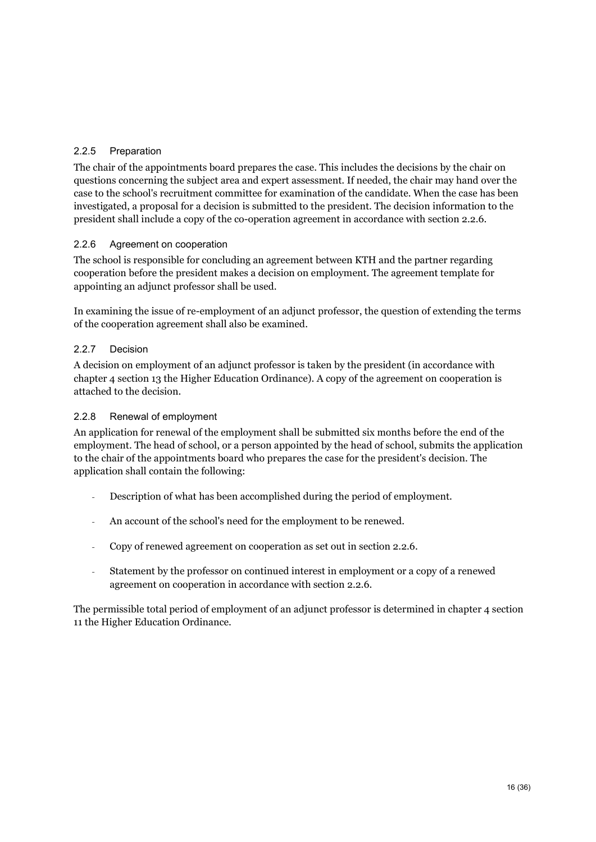### 2.2.5 Preparation

The chair of the appointments board prepares the case. This includes the decisions by the chair on questions concerning the subject area and expert assessment. If needed, the chair may hand over the case to the school's recruitment committee for examination of the candidate. When the case has been investigated, a proposal for a decision is submitted to the president. The decision information to the president shall include a copy of the co-operation agreement in accordance with section 2.2.6.

### 2.2.6 Agreement on cooperation

The school is responsible for concluding an agreement between KTH and the partner regarding cooperation before the president makes a decision on employment. The agreement template for appointing an adjunct professor shall be used.

In examining the issue of re-employment of an adjunct professor, the question of extending the terms of the cooperation agreement shall also be examined.

### 2.2.7 Decision

A decision on employment of an adjunct professor is taken by the president (in accordance with chapter 4 section 13 the Higher Education Ordinance). A copy of the agreement on cooperation is attached to the decision.

### 2.2.8 Renewal of employment

An application for renewal of the employment shall be submitted six months before the end of the employment. The head of school, or a person appointed by the head of school, submits the application to the chair of the appointments board who prepares the case for the president's decision. The application shall contain the following:

- Description of what has been accomplished during the period of employment.
- An account of the school's need for the employment to be renewed.
- Copy of renewed agreement on cooperation as set out in section 2.2.6.
- Statement by the professor on continued interest in employment or a copy of a renewed agreement on cooperation in accordance with section 2.2.6.

The permissible total period of employment of an adjunct professor is determined in chapter 4 section 11 the Higher Education Ordinance.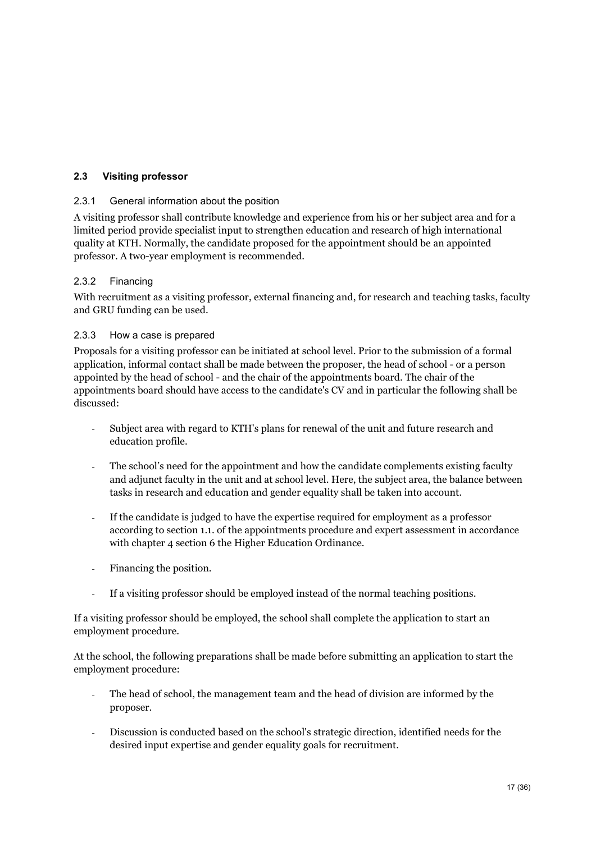### <span id="page-17-0"></span>**2.3 Visiting professor**

#### 2.3.1 General information about the position

A visiting professor shall contribute knowledge and experience from his or her subject area and for a limited period provide specialist input to strengthen education and research of high international quality at KTH. Normally, the candidate proposed for the appointment should be an appointed professor. A two-year employment is recommended.

### 2.3.2 Financing

With recruitment as a visiting professor, external financing and, for research and teaching tasks, faculty and GRU funding can be used.

#### 2.3.3 How a case is prepared

Proposals for a visiting professor can be initiated at school level. Prior to the submission of a formal application, informal contact shall be made between the proposer, the head of school - or a person appointed by the head of school - and the chair of the appointments board. The chair of the appointments board should have access to the candidate's CV and in particular the following shall be discussed:

- Subject area with regard to KTH's plans for renewal of the unit and future research and education profile.
- The school's need for the appointment and how the candidate complements existing faculty and adjunct faculty in the unit and at school level. Here, the subject area, the balance between tasks in research and education and gender equality shall be taken into account.
- If the candidate is judged to have the expertise required for employment as a professor according to section 1.1. of the appointments procedure and expert assessment in accordance with chapter 4 section 6 the Higher Education Ordinance.
- Financing the position.
- If a visiting professor should be employed instead of the normal teaching positions.

If a visiting professor should be employed, the school shall complete the application to start an employment procedure.

At the school, the following preparations shall be made before submitting an application to start the employment procedure:

- The head of school, the management team and the head of division are informed by the proposer.
- Discussion is conducted based on the school's strategic direction, identified needs for the desired input expertise and gender equality goals for recruitment.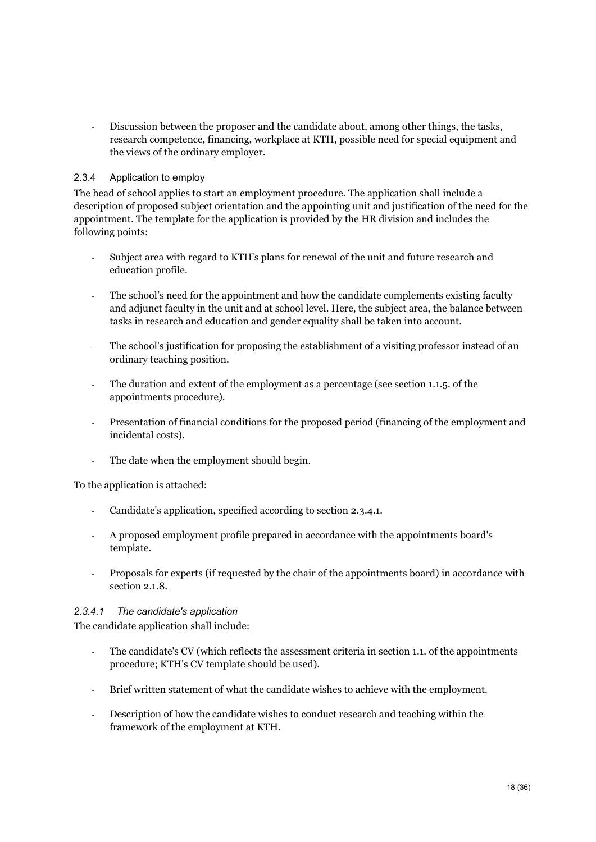- Discussion between the proposer and the candidate about, among other things, the tasks, research competence, financing, workplace at KTH, possible need for special equipment and the views of the ordinary employer.

### 2.3.4 Application to employ

The head of school applies to start an employment procedure. The application shall include a description of proposed subject orientation and the appointing unit and justification of the need for the appointment. The template for the application is provided by the HR division and includes the following points:

- Subject area with regard to KTH's plans for renewal of the unit and future research and education profile.
- The school's need for the appointment and how the candidate complements existing faculty and adjunct faculty in the unit and at school level. Here, the subject area, the balance between tasks in research and education and gender equality shall be taken into account.
- The school's justification for proposing the establishment of a visiting professor instead of an ordinary teaching position.
- The duration and extent of the employment as a percentage (see section 1.1.5. of the appointments procedure).
- Presentation of financial conditions for the proposed period (financing of the employment and incidental costs).
- The date when the employment should begin.

To the application is attached:

- Candidate's application, specified according to section 2.3.4.1.
- A proposed employment profile prepared in accordance with the appointments board's template.
- Proposals for experts (if requested by the chair of the appointments board) in accordance with section 2.1.8.

#### *2.3.4.1 The candidate's application*

The candidate application shall include:

- The candidate's CV (which reflects the assessment criteria in section 1.1. of the appointments procedure; KTH's CV template should be used).
- Brief written statement of what the candidate wishes to achieve with the employment.
- Description of how the candidate wishes to conduct research and teaching within the framework of the employment at KTH.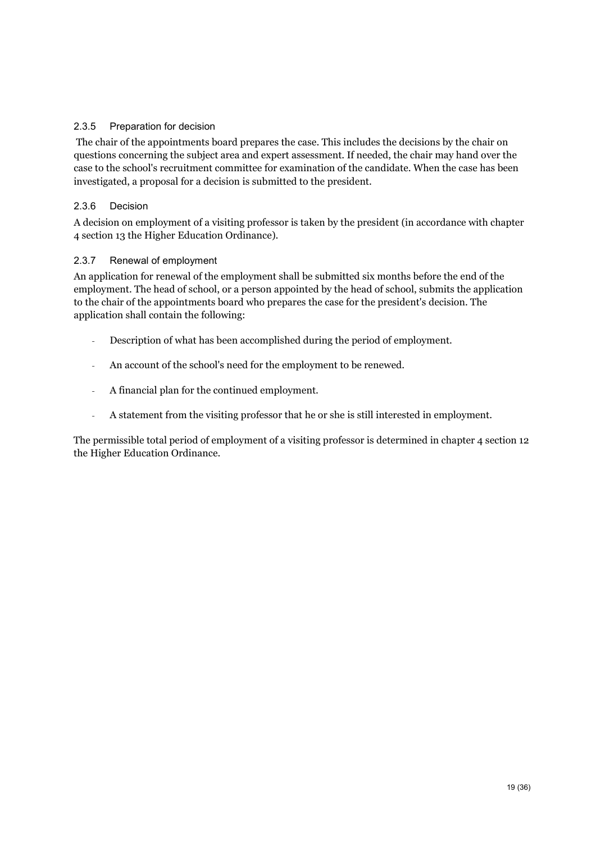### 2.3.5 Preparation for decision

The chair of the appointments board prepares the case. This includes the decisions by the chair on questions concerning the subject area and expert assessment. If needed, the chair may hand over the case to the school's recruitment committee for examination of the candidate. When the case has been investigated, a proposal for a decision is submitted to the president.

### 2.3.6 Decision

A decision on employment of a visiting professor is taken by the president (in accordance with chapter 4 section 13 the Higher Education Ordinance).

### 2.3.7 Renewal of employment

An application for renewal of the employment shall be submitted six months before the end of the employment. The head of school, or a person appointed by the head of school, submits the application to the chair of the appointments board who prepares the case for the president's decision. The application shall contain the following:

- Description of what has been accomplished during the period of employment.
- An account of the school's need for the employment to be renewed.
- A financial plan for the continued employment.
- A statement from the visiting professor that he or she is still interested in employment.

The permissible total period of employment of a visiting professor is determined in chapter 4 section 12 the Higher Education Ordinance.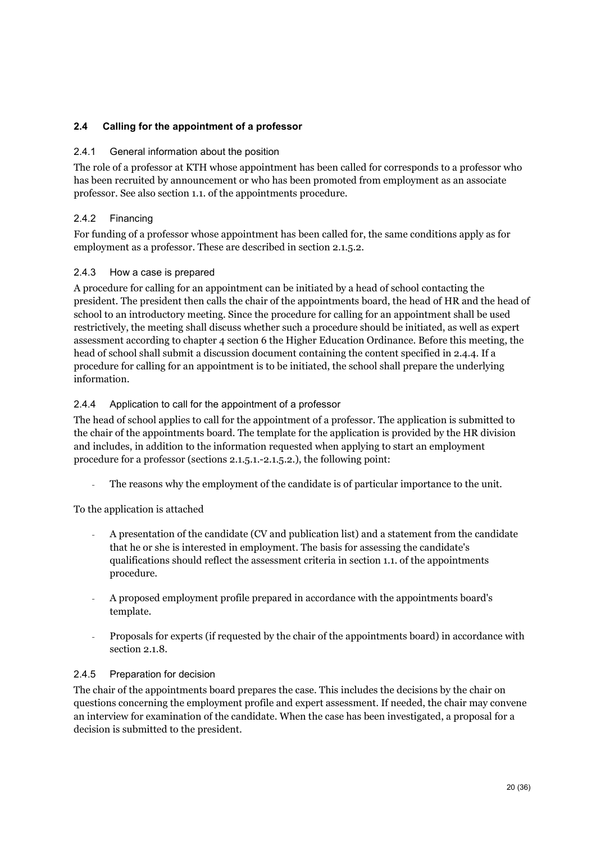### <span id="page-20-0"></span>**2.4 Calling for the appointment of a professor**

#### 2.4.1 General information about the position

The role of a professor at KTH whose appointment has been called for corresponds to a professor who has been recruited by announcement or who has been promoted from employment as an associate professor. See also section 1.1. of the appointments procedure.

### 2.4.2 Financing

For funding of a professor whose appointment has been called for, the same conditions apply as for employment as a professor. These are described in section 2.1.5.2.

#### 2.4.3 How a case is prepared

A procedure for calling for an appointment can be initiated by a head of school contacting the president. The president then calls the chair of the appointments board, the head of HR and the head of school to an introductory meeting. Since the procedure for calling for an appointment shall be used restrictively, the meeting shall discuss whether such a procedure should be initiated, as well as expert assessment according to chapter 4 section 6 the Higher Education Ordinance. Before this meeting, the head of school shall submit a discussion document containing the content specified in 2.4.4. If a procedure for calling for an appointment is to be initiated, the school shall prepare the underlying information.

### 2.4.4 Application to call for the appointment of a professor

The head of school applies to call for the appointment of a professor. The application is submitted to the chair of the appointments board. The template for the application is provided by the HR division and includes, in addition to the information requested when applying to start an employment procedure for a professor (sections 2.1.5.1.-2.1.5.2.), the following point:

The reasons why the employment of the candidate is of particular importance to the unit.

To the application is attached

- A presentation of the candidate (CV and publication list) and a statement from the candidate that he or she is interested in employment. The basis for assessing the candidate's qualifications should reflect the assessment criteria in section 1.1. of the appointments procedure.
- A proposed employment profile prepared in accordance with the appointments board's template.
- Proposals for experts (if requested by the chair of the appointments board) in accordance with section 2.1.8.

#### 2.4.5 Preparation for decision

The chair of the appointments board prepares the case. This includes the decisions by the chair on questions concerning the employment profile and expert assessment. If needed, the chair may convene an interview for examination of the candidate. When the case has been investigated, a proposal for a decision is submitted to the president.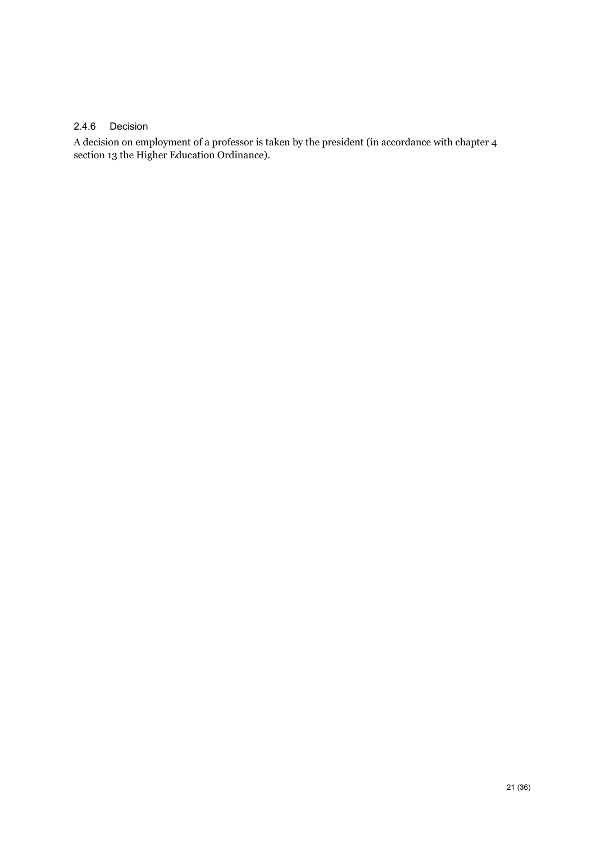#### 2.4.6 Decision

A decision on employment of a professor is taken by the president (in accordance with chapter 4 section 13 the Higher Education Ordinance).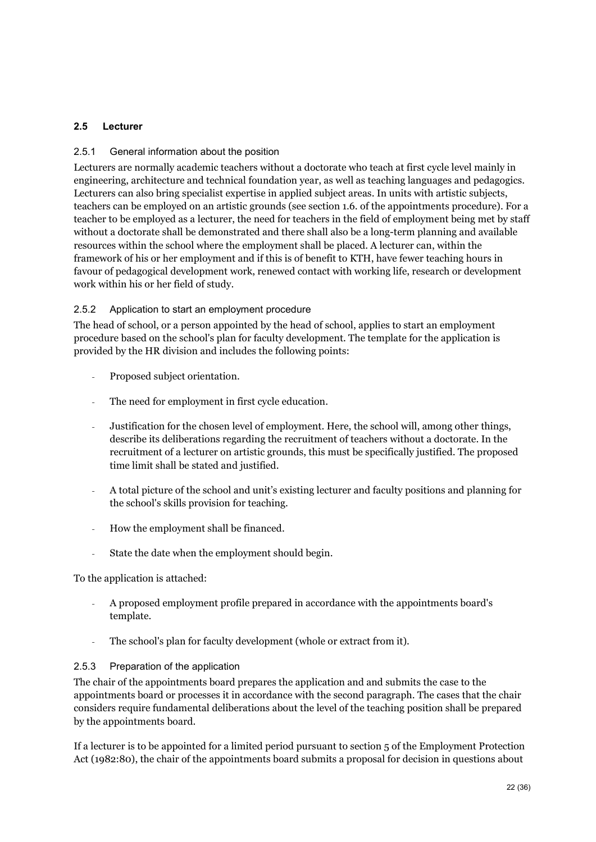### <span id="page-22-0"></span>**2.5 Lecturer**

### 2.5.1 General information about the position

Lecturers are normally academic teachers without a doctorate who teach at first cycle level mainly in engineering, architecture and technical foundation year, as well as teaching languages and pedagogics. Lecturers can also bring specialist expertise in applied subject areas. In units with artistic subjects, teachers can be employed on an artistic grounds (see section 1.6. of the appointments procedure). For a teacher to be employed as a lecturer, the need for teachers in the field of employment being met by staff without a doctorate shall be demonstrated and there shall also be a long-term planning and available resources within the school where the employment shall be placed. A lecturer can, within the framework of his or her employment and if this is of benefit to KTH, have fewer teaching hours in favour of pedagogical development work, renewed contact with working life, research or development work within his or her field of study.

### 2.5.2 Application to start an employment procedure

The head of school, or a person appointed by the head of school, applies to start an employment procedure based on the school's plan for faculty development. The template for the application is provided by the HR division and includes the following points:

- Proposed subject orientation.
- The need for employment in first cycle education.
- Justification for the chosen level of employment. Here, the school will, among other things, describe its deliberations regarding the recruitment of teachers without a doctorate. In the recruitment of a lecturer on artistic grounds, this must be specifically justified. The proposed time limit shall be stated and justified.
- A total picture of the school and unit's existing lecturer and faculty positions and planning for the school's skills provision for teaching.
- How the employment shall be financed.
- State the date when the employment should begin.

To the application is attached:

- A proposed employment profile prepared in accordance with the appointments board's template.
- The school's plan for faculty development (whole or extract from it).

#### 2.5.3 Preparation of the application

The chair of the appointments board prepares the application and and submits the case to the appointments board or processes it in accordance with the second paragraph. The cases that the chair considers require fundamental deliberations about the level of the teaching position shall be prepared by the appointments board.

If a lecturer is to be appointed for a limited period pursuant to section 5 of the Employment Protection Act (1982:80), the chair of the appointments board submits a proposal for decision in questions about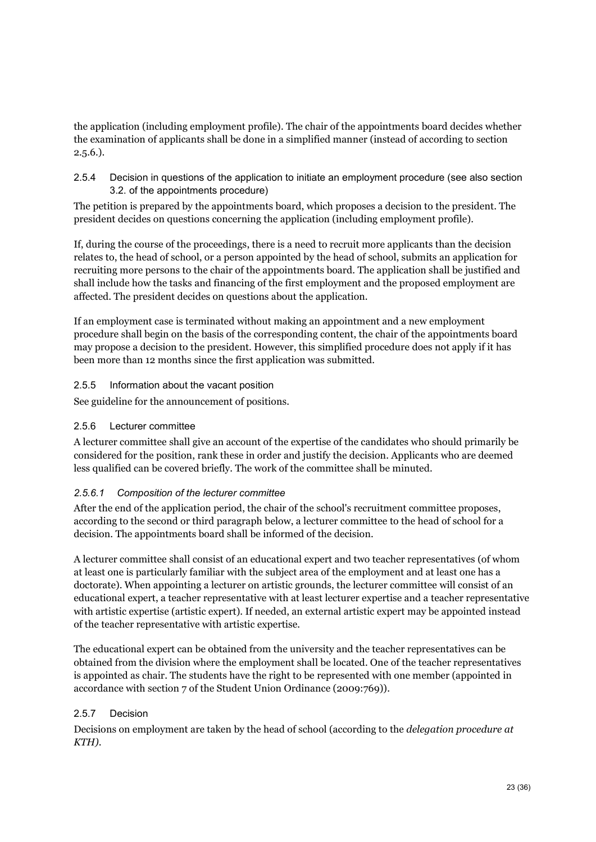the application (including employment profile). The chair of the appointments board decides whether the examination of applicants shall be done in a simplified manner (instead of according to section  $2.5.6.$ ).

2.5.4 Decision in questions of the application to initiate an employment procedure (see also section 3.2. of the appointments procedure)

The petition is prepared by the appointments board, which proposes a decision to the president. The president decides on questions concerning the application (including employment profile).

If, during the course of the proceedings, there is a need to recruit more applicants than the decision relates to, the head of school, or a person appointed by the head of school, submits an application for recruiting more persons to the chair of the appointments board. The application shall be justified and shall include how the tasks and financing of the first employment and the proposed employment are affected. The president decides on questions about the application.

If an employment case is terminated without making an appointment and a new employment procedure shall begin on the basis of the corresponding content, the chair of the appointments board may propose a decision to the president. However, this simplified procedure does not apply if it has been more than 12 months since the first application was submitted.

2.5.5 Information about the vacant position

See guideline for the announcement of positions.

#### 2.5.6 Lecturer committee

A lecturer committee shall give an account of the expertise of the candidates who should primarily be considered for the position, rank these in order and justify the decision. Applicants who are deemed less qualified can be covered briefly. The work of the committee shall be minuted.

### *2.5.6.1 Composition of the lecturer committee*

After the end of the application period, the chair of the school's recruitment committee proposes, according to the second or third paragraph below, a lecturer committee to the head of school for a decision. The appointments board shall be informed of the decision.

A lecturer committee shall consist of an educational expert and two teacher representatives (of whom at least one is particularly familiar with the subject area of the employment and at least one has a doctorate). When appointing a lecturer on artistic grounds, the lecturer committee will consist of an educational expert, a teacher representative with at least lecturer expertise and a teacher representative with artistic expertise (artistic expert). If needed, an external artistic expert may be appointed instead of the teacher representative with artistic expertise.

The educational expert can be obtained from the university and the teacher representatives can be obtained from the division where the employment shall be located. One of the teacher representatives is appointed as chair. The students have the right to be represented with one member (appointed in accordance with section 7 of the Student Union Ordinance (2009:769)).

### 2.5.7 Decision

Decisions on employment are taken by the head of school (according to the *delegation procedure at KTH)*.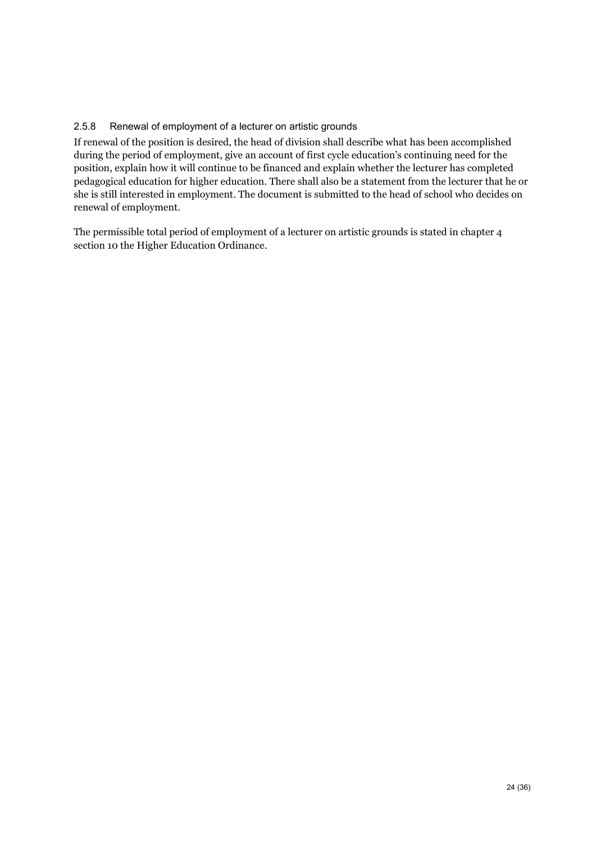### 2.5.8 Renewal of employment of a lecturer on artistic grounds

If renewal of the position is desired, the head of division shall describe what has been accomplished during the period of employment, give an account of first cycle education's continuing need for the position, explain how it will continue to be financed and explain whether the lecturer has completed pedagogical education for higher education. There shall also be a statement from the lecturer that he or she is still interested in employment. The document is submitted to the head of school who decides on renewal of employment.

The permissible total period of employment of a lecturer on artistic grounds is stated in chapter 4 section 10 the Higher Education Ordinance.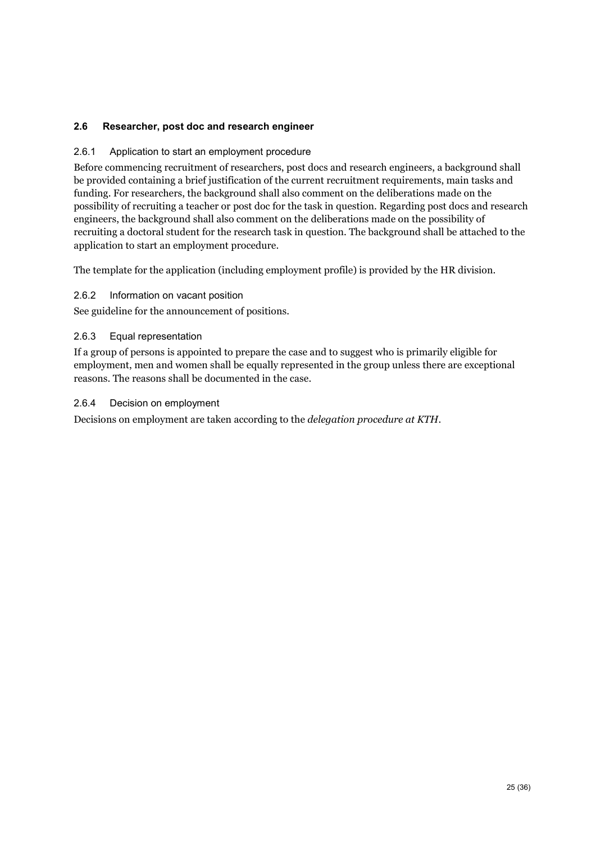### <span id="page-25-0"></span>**2.6 Researcher, post doc and research engineer**

#### 2.6.1 Application to start an employment procedure

Before commencing recruitment of researchers, post docs and research engineers, a background shall be provided containing a brief justification of the current recruitment requirements, main tasks and funding. For researchers, the background shall also comment on the deliberations made on the possibility of recruiting a teacher or post doc for the task in question. Regarding post docs and research engineers, the background shall also comment on the deliberations made on the possibility of recruiting a doctoral student for the research task in question. The background shall be attached to the application to start an employment procedure.

The template for the application (including employment profile) is provided by the HR division.

#### 2.6.2 Information on vacant position

See guideline for the announcement of positions.

### 2.6.3 Equal representation

If a group of persons is appointed to prepare the case and to suggest who is primarily eligible for employment, men and women shall be equally represented in the group unless there are exceptional reasons. The reasons shall be documented in the case.

#### 2.6.4 Decision on employment

Decisions on employment are taken according to the *delegation procedure at KTH*.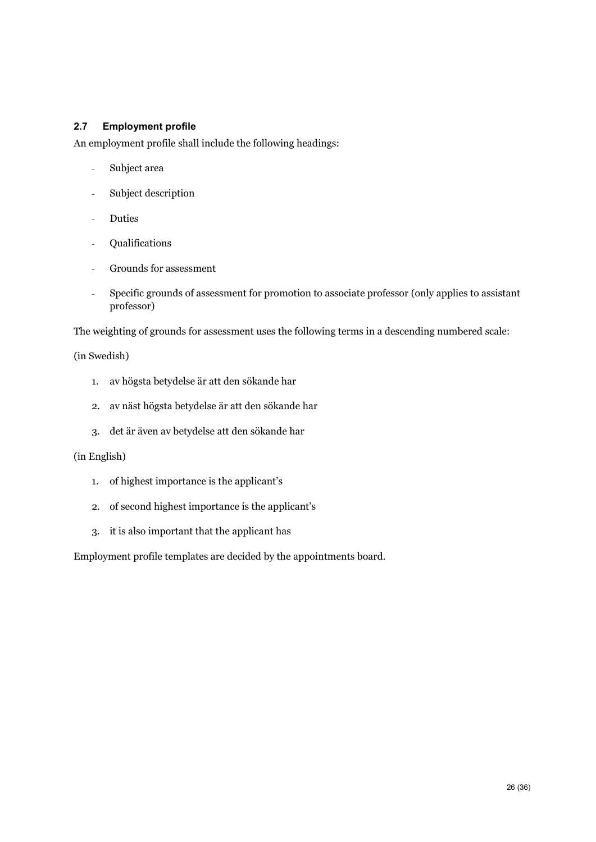#### <span id="page-26-0"></span>**2.7 Employment profile**

An employment profile shall include the following headings:

- Subject area
- Subject description
- Duties
- Qualifications
- Grounds for assessment
- Specific grounds of assessment for promotion to associate professor (only applies to assistant professor)

The weighting of grounds for assessment uses the following terms in a descending numbered scale:

(in Swedish)

- 1. av högsta betydelse är att den sökande har
- 2. av näst högsta betydelse är att den sökande har
- 3. det är även av betydelse att den sökande har

#### (in English)

- 1. of highest importance is the applicant's
- 2. of second highest importance is the applicant's
- 3. it is also important that the applicant has

Employment profile templates are decided by the appointments board.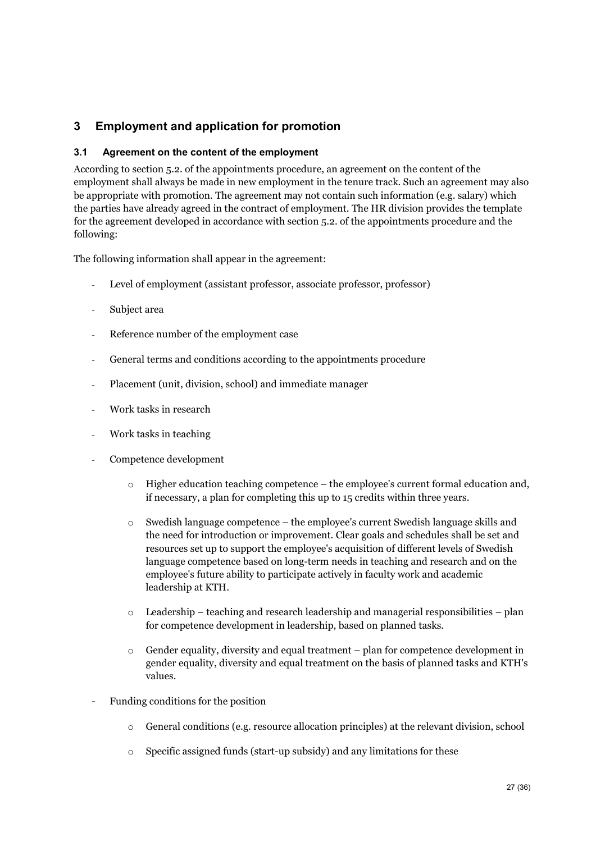# <span id="page-27-0"></span>**3 Employment and application for promotion**

### <span id="page-27-1"></span>**3.1 Agreement on the content of the employment**

According to section 5.2. of the appointments procedure, an agreement on the content of the employment shall always be made in new employment in the tenure track. Such an agreement may also be appropriate with promotion. The agreement may not contain such information (e.g. salary) which the parties have already agreed in the contract of employment. The HR division provides the template for the agreement developed in accordance with section 5.2. of the appointments procedure and the following:

The following information shall appear in the agreement:

- Level of employment (assistant professor, associate professor, professor)
- Subject area
- Reference number of the employment case
- General terms and conditions according to the appointments procedure
- Placement (unit, division, school) and immediate manager
- Work tasks in research
- Work tasks in teaching
- Competence development
	- $\circ$  Higher education teaching competence the employee's current formal education and, if necessary, a plan for completing this up to 15 credits within three years.
	- $\circ$  Swedish language competence the employee's current Swedish language skills and the need for introduction or improvement. Clear goals and schedules shall be set and resources set up to support the employee's acquisition of different levels of Swedish language competence based on long-term needs in teaching and research and on the employee's future ability to participate actively in faculty work and academic leadership at KTH.
	- $\circ$  Leadership teaching and research leadership and managerial responsibilities plan for competence development in leadership, based on planned tasks.
	- $\circ$  Gender equality, diversity and equal treatment plan for competence development in gender equality, diversity and equal treatment on the basis of planned tasks and KTH's values.
- Funding conditions for the position
	- o General conditions (e.g. resource allocation principles) at the relevant division, school
	- o Specific assigned funds (start-up subsidy) and any limitations for these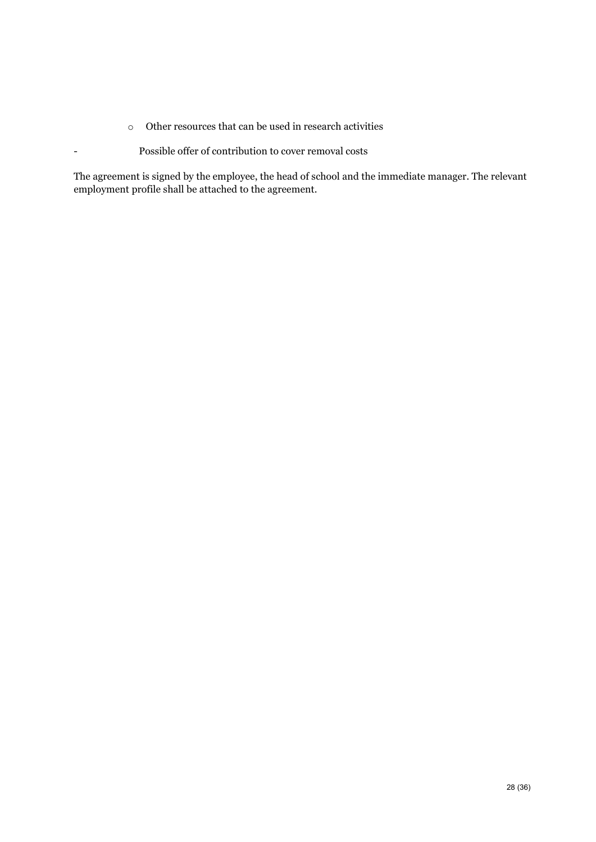- o Other resources that can be used in research activities
- Possible offer of contribution to cover removal costs

The agreement is signed by the employee, the head of school and the immediate manager. The relevant employment profile shall be attached to the agreement.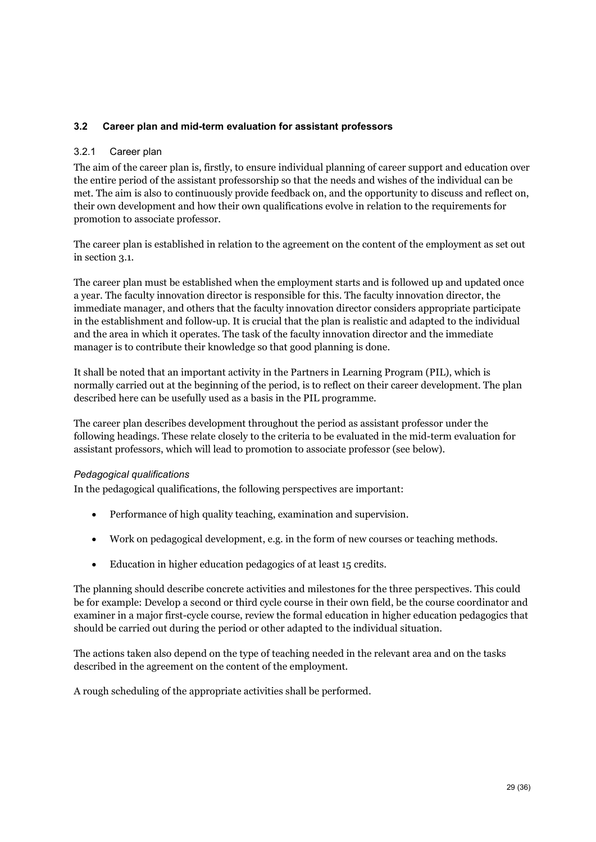### <span id="page-29-0"></span>**3.2 Career plan and mid-term evaluation for assistant professors**

#### 3.2.1 Career plan

The aim of the career plan is, firstly, to ensure individual planning of career support and education over the entire period of the assistant professorship so that the needs and wishes of the individual can be met. The aim is also to continuously provide feedback on, and the opportunity to discuss and reflect on, their own development and how their own qualifications evolve in relation to the requirements for promotion to associate professor.

The career plan is established in relation to the agreement on the content of the employment as set out in section 3.1.

The career plan must be established when the employment starts and is followed up and updated once a year. The faculty innovation director is responsible for this. The faculty innovation director, the immediate manager, and others that the faculty innovation director considers appropriate participate in the establishment and follow-up. It is crucial that the plan is realistic and adapted to the individual and the area in which it operates. The task of the faculty innovation director and the immediate manager is to contribute their knowledge so that good planning is done.

It shall be noted that an important activity in the Partners in Learning Program (PIL), which is normally carried out at the beginning of the period, is to reflect on their career development. The plan described here can be usefully used as a basis in the PIL programme.

The career plan describes development throughout the period as assistant professor under the following headings. These relate closely to the criteria to be evaluated in the mid-term evaluation for assistant professors, which will lead to promotion to associate professor (see below).

#### *Pedagogical qualifications*

In the pedagogical qualifications, the following perspectives are important:

- Performance of high quality teaching, examination and supervision.
- Work on pedagogical development, e.g. in the form of new courses or teaching methods.
- Education in higher education pedagogics of at least 15 credits.

The planning should describe concrete activities and milestones for the three perspectives. This could be for example: Develop a second or third cycle course in their own field, be the course coordinator and examiner in a major first-cycle course, review the formal education in higher education pedagogics that should be carried out during the period or other adapted to the individual situation.

The actions taken also depend on the type of teaching needed in the relevant area and on the tasks described in the agreement on the content of the employment.

A rough scheduling of the appropriate activities shall be performed.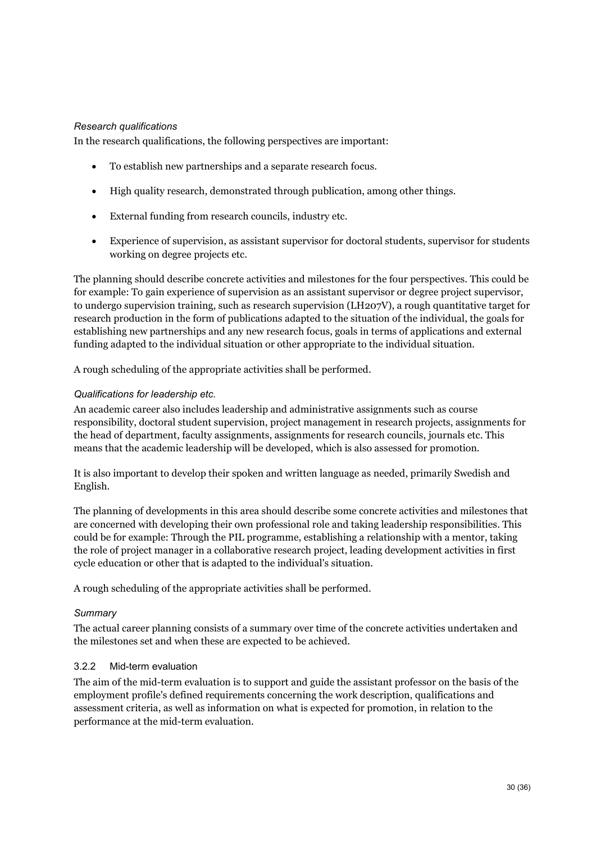#### *Research qualifications*

In the research qualifications, the following perspectives are important:

- To establish new partnerships and a separate research focus.
- High quality research, demonstrated through publication, among other things.
- External funding from research councils, industry etc.
- Experience of supervision, as assistant supervisor for doctoral students, supervisor for students working on degree projects etc.

The planning should describe concrete activities and milestones for the four perspectives. This could be for example: To gain experience of supervision as an assistant supervisor or degree project supervisor, to undergo supervision training, such as research supervision (LH207V), a rough quantitative target for research production in the form of publications adapted to the situation of the individual, the goals for establishing new partnerships and any new research focus, goals in terms of applications and external funding adapted to the individual situation or other appropriate to the individual situation.

A rough scheduling of the appropriate activities shall be performed.

#### *Qualifications for leadership etc.*

An academic career also includes leadership and administrative assignments such as course responsibility, doctoral student supervision, project management in research projects, assignments for the head of department, faculty assignments, assignments for research councils, journals etc. This means that the academic leadership will be developed, which is also assessed for promotion.

It is also important to develop their spoken and written language as needed, primarily Swedish and English.

The planning of developments in this area should describe some concrete activities and milestones that are concerned with developing their own professional role and taking leadership responsibilities. This could be for example: Through the PIL programme, establishing a relationship with a mentor, taking the role of project manager in a collaborative research project, leading development activities in first cycle education or other that is adapted to the individual's situation.

A rough scheduling of the appropriate activities shall be performed.

#### *Summary*

The actual career planning consists of a summary over time of the concrete activities undertaken and the milestones set and when these are expected to be achieved.

#### 3.2.2 Mid-term evaluation

The aim of the mid-term evaluation is to support and guide the assistant professor on the basis of the employment profile's defined requirements concerning the work description, qualifications and assessment criteria, as well as information on what is expected for promotion, in relation to the performance at the mid-term evaluation.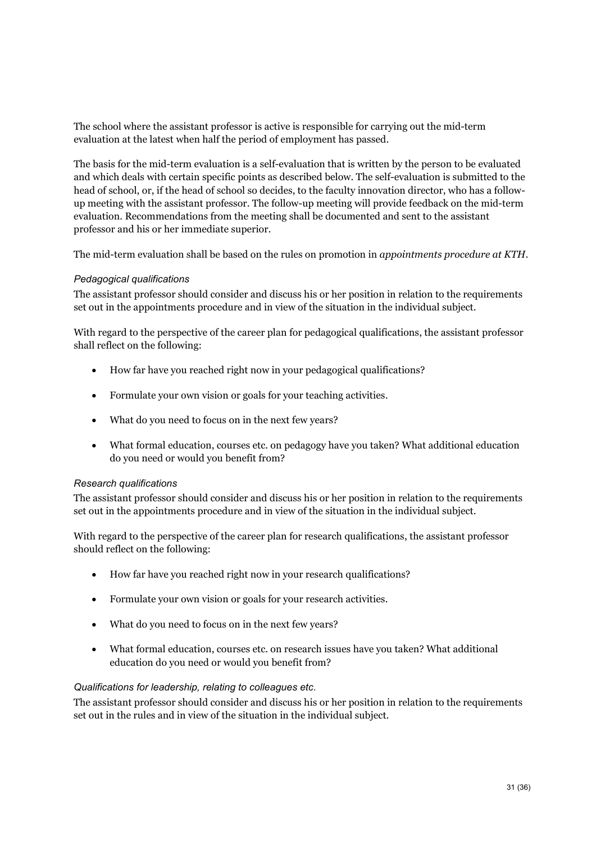The school where the assistant professor is active is responsible for carrying out the mid-term evaluation at the latest when half the period of employment has passed.

The basis for the mid-term evaluation is a self-evaluation that is written by the person to be evaluated and which deals with certain specific points as described below. The self-evaluation is submitted to the head of school, or, if the head of school so decides, to the faculty innovation director, who has a followup meeting with the assistant professor. The follow-up meeting will provide feedback on the mid-term evaluation. Recommendations from the meeting shall be documented and sent to the assistant professor and his or her immediate superior.

The mid-term evaluation shall be based on the rules on promotion in *appointments procedure at KTH*.

#### *Pedagogical qualifications*

The assistant professor should consider and discuss his or her position in relation to the requirements set out in the appointments procedure and in view of the situation in the individual subject.

With regard to the perspective of the career plan for pedagogical qualifications, the assistant professor shall reflect on the following:

- How far have you reached right now in your pedagogical qualifications?
- Formulate your own vision or goals for your teaching activities.
- What do you need to focus on in the next few years?
- What formal education, courses etc. on pedagogy have you taken? What additional education do you need or would you benefit from?

#### *Research qualifications*

The assistant professor should consider and discuss his or her position in relation to the requirements set out in the appointments procedure and in view of the situation in the individual subject.

With regard to the perspective of the career plan for research qualifications, the assistant professor should reflect on the following:

- How far have you reached right now in your research qualifications?
- Formulate your own vision or goals for your research activities.
- What do you need to focus on in the next few years?
- What formal education, courses etc. on research issues have you taken? What additional education do you need or would you benefit from?

#### *Qualifications for leadership, relating to colleagues etc.*

The assistant professor should consider and discuss his or her position in relation to the requirements set out in the rules and in view of the situation in the individual subject.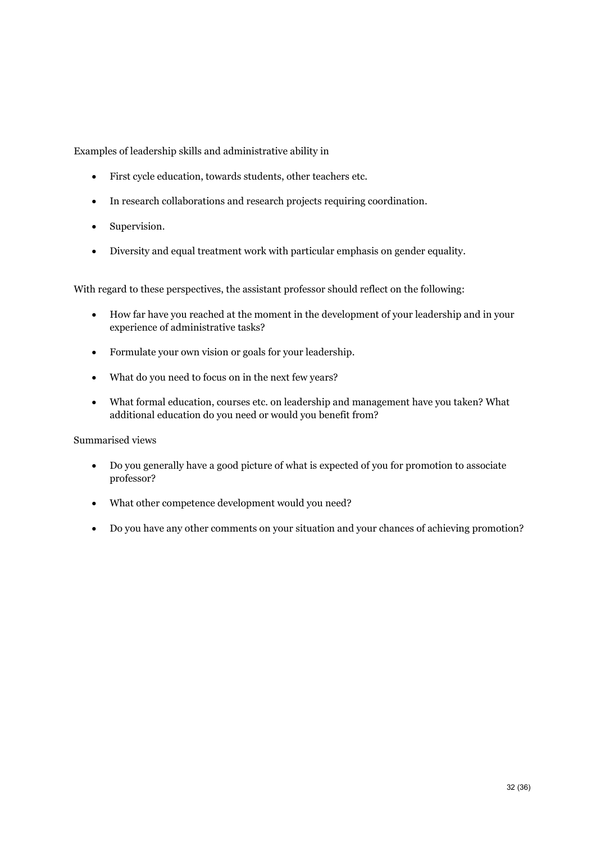Examples of leadership skills and administrative ability in

- First cycle education, towards students, other teachers etc.
- In research collaborations and research projects requiring coordination.
- Supervision.
- Diversity and equal treatment work with particular emphasis on gender equality.

With regard to these perspectives, the assistant professor should reflect on the following:

- How far have you reached at the moment in the development of your leadership and in your experience of administrative tasks?
- Formulate your own vision or goals for your leadership.
- What do you need to focus on in the next few years?
- What formal education, courses etc. on leadership and management have you taken? What additional education do you need or would you benefit from?

Summarised views

- Do you generally have a good picture of what is expected of you for promotion to associate professor?
- What other competence development would you need?
- Do you have any other comments on your situation and your chances of achieving promotion?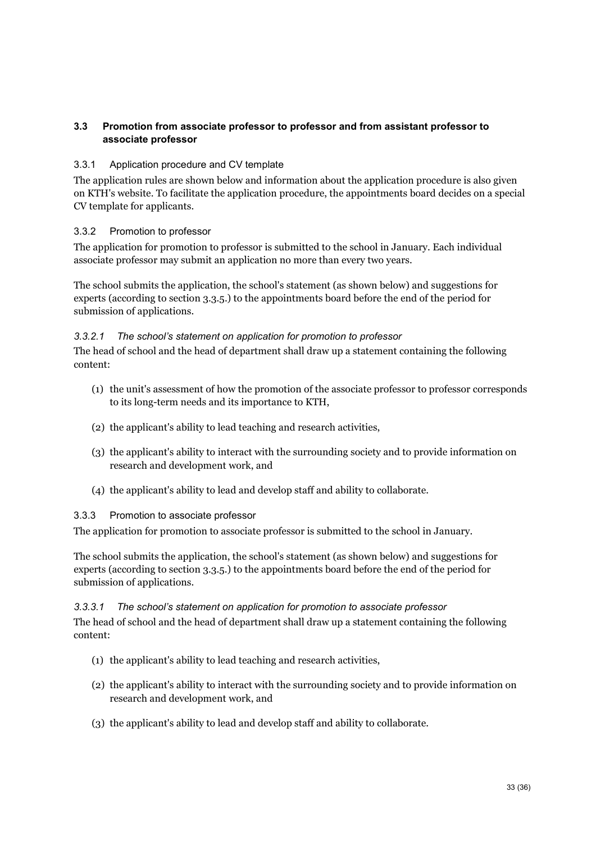### <span id="page-33-0"></span>**3.3 Promotion from associate professor to professor and from assistant professor to associate professor**

### 3.3.1 Application procedure and CV template

The application rules are shown below and information about the application procedure is also given on KTH's website. To facilitate the application procedure, the appointments board decides on a special CV template for applicants.

### 3.3.2 Promotion to professor

The application for promotion to professor is submitted to the school in January. Each individual associate professor may submit an application no more than every two years.

The school submits the application, the school's statement (as shown below) and suggestions for experts (according to section 3.3.5.) to the appointments board before the end of the period for submission of applications.

### *3.3.2.1 The school's statement on application for promotion to professor*

The head of school and the head of department shall draw up a statement containing the following content:

- (1) the unit's assessment of how the promotion of the associate professor to professor corresponds to its long-term needs and its importance to KTH,
- (2) the applicant's ability to lead teaching and research activities,
- (3) the applicant's ability to interact with the surrounding society and to provide information on research and development work, and
- (4) the applicant's ability to lead and develop staff and ability to collaborate.

#### 3.3.3 Promotion to associate professor

The application for promotion to associate professor is submitted to the school in January.

The school submits the application, the school's statement (as shown below) and suggestions for experts (according to section 3.3.5.) to the appointments board before the end of the period for submission of applications.

#### *3.3.3.1 The school's statement on application for promotion to associate professor*

The head of school and the head of department shall draw up a statement containing the following content:

- (1) the applicant's ability to lead teaching and research activities,
- (2) the applicant's ability to interact with the surrounding society and to provide information on research and development work, and
- (3) the applicant's ability to lead and develop staff and ability to collaborate.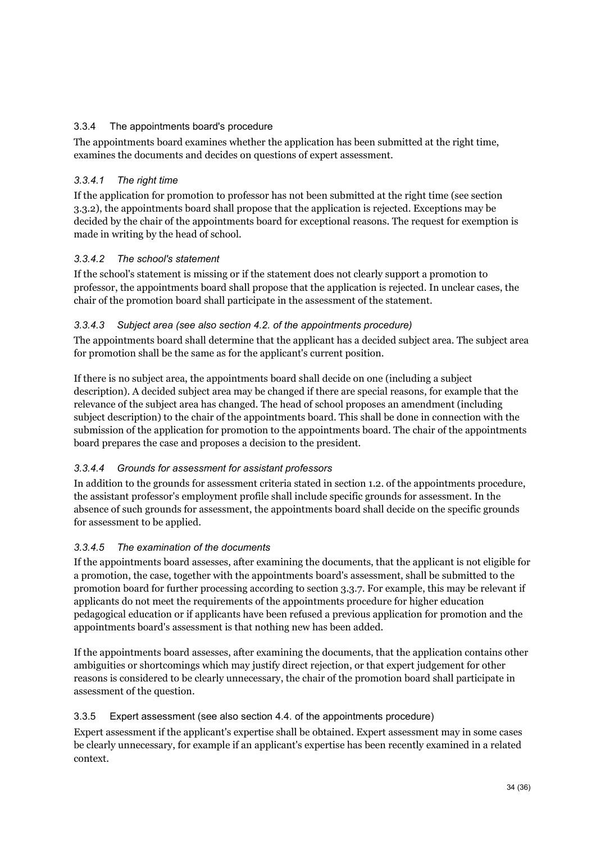### 3.3.4 The appointments board's procedure

The appointments board examines whether the application has been submitted at the right time, examines the documents and decides on questions of expert assessment.

### *3.3.4.1 The right time*

If the application for promotion to professor has not been submitted at the right time (see section 3.3.2), the appointments board shall propose that the application is rejected. Exceptions may be decided by the chair of the appointments board for exceptional reasons. The request for exemption is made in writing by the head of school.

### *3.3.4.2 The school's statement*

If the school's statement is missing or if the statement does not clearly support a promotion to professor, the appointments board shall propose that the application is rejected. In unclear cases, the chair of the promotion board shall participate in the assessment of the statement.

### *3.3.4.3 Subject area (see also section 4.2. of the appointments procedure)*

The appointments board shall determine that the applicant has a decided subject area. The subject area for promotion shall be the same as for the applicant's current position.

If there is no subject area, the appointments board shall decide on one (including a subject description). A decided subject area may be changed if there are special reasons, for example that the relevance of the subject area has changed. The head of school proposes an amendment (including subject description) to the chair of the appointments board. This shall be done in connection with the submission of the application for promotion to the appointments board. The chair of the appointments board prepares the case and proposes a decision to the president.

### *3.3.4.4 Grounds for assessment for assistant professors*

In addition to the grounds for assessment criteria stated in section 1.2. of the appointments procedure, the assistant professor's employment profile shall include specific grounds for assessment. In the absence of such grounds for assessment, the appointments board shall decide on the specific grounds for assessment to be applied.

### *3.3.4.5 The examination of the documents*

If the appointments board assesses, after examining the documents, that the applicant is not eligible for a promotion, the case, together with the appointments board's assessment, shall be submitted to the promotion board for further processing according to section 3.3.7. For example, this may be relevant if applicants do not meet the requirements of the appointments procedure for higher education pedagogical education or if applicants have been refused a previous application for promotion and the appointments board's assessment is that nothing new has been added.

If the appointments board assesses, after examining the documents, that the application contains other ambiguities or shortcomings which may justify direct rejection, or that expert judgement for other reasons is considered to be clearly unnecessary, the chair of the promotion board shall participate in assessment of the question.

### 3.3.5 Expert assessment (see also section 4.4. of the appointments procedure)

Expert assessment if the applicant's expertise shall be obtained. Expert assessment may in some cases be clearly unnecessary, for example if an applicant's expertise has been recently examined in a related context.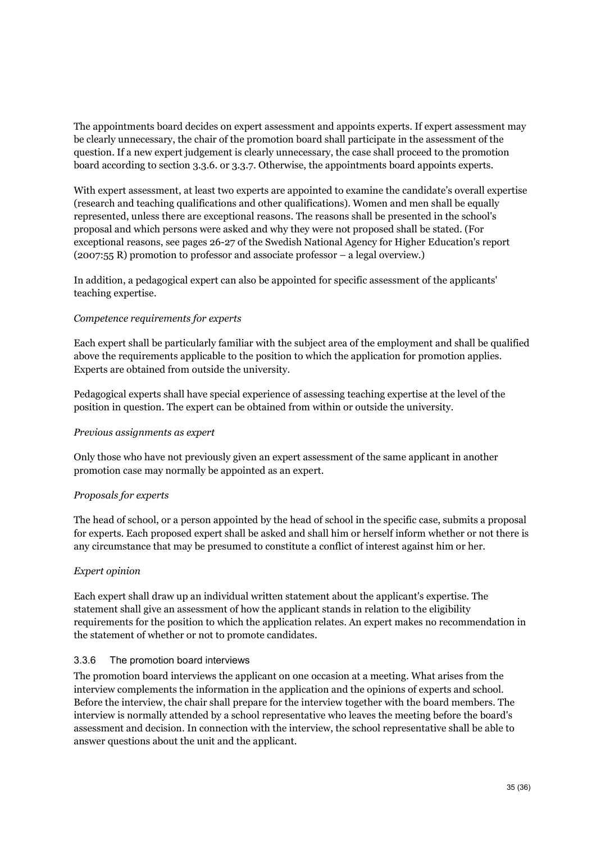The appointments board decides on expert assessment and appoints experts. If expert assessment may be clearly unnecessary, the chair of the promotion board shall participate in the assessment of the question. If a new expert judgement is clearly unnecessary, the case shall proceed to the promotion board according to section 3.3.6. or 3.3.7. Otherwise, the appointments board appoints experts.

With expert assessment, at least two experts are appointed to examine the candidate's overall expertise (research and teaching qualifications and other qualifications). Women and men shall be equally represented, unless there are exceptional reasons. The reasons shall be presented in the school's proposal and which persons were asked and why they were not proposed shall be stated. (For exceptional reasons, see pages 26-27 of the Swedish National Agency for Higher Education's report (2007:55 R) promotion to professor and associate professor – a legal overview.)

In addition, a pedagogical expert can also be appointed for specific assessment of the applicants' teaching expertise.

#### *Competence requirements for experts*

Each expert shall be particularly familiar with the subject area of the employment and shall be qualified above the requirements applicable to the position to which the application for promotion applies. Experts are obtained from outside the university.

Pedagogical experts shall have special experience of assessing teaching expertise at the level of the position in question. The expert can be obtained from within or outside the university.

#### *Previous assignments as expert*

Only those who have not previously given an expert assessment of the same applicant in another promotion case may normally be appointed as an expert.

#### *Proposals for experts*

The head of school, or a person appointed by the head of school in the specific case, submits a proposal for experts. Each proposed expert shall be asked and shall him or herself inform whether or not there is any circumstance that may be presumed to constitute a conflict of interest against him or her.

### *Expert opinion*

Each expert shall draw up an individual written statement about the applicant's expertise. The statement shall give an assessment of how the applicant stands in relation to the eligibility requirements for the position to which the application relates. An expert makes no recommendation in the statement of whether or not to promote candidates.

#### 3.3.6 The promotion board interviews

The promotion board interviews the applicant on one occasion at a meeting. What arises from the interview complements the information in the application and the opinions of experts and school. Before the interview, the chair shall prepare for the interview together with the board members. The interview is normally attended by a school representative who leaves the meeting before the board's assessment and decision. In connection with the interview, the school representative shall be able to answer questions about the unit and the applicant.